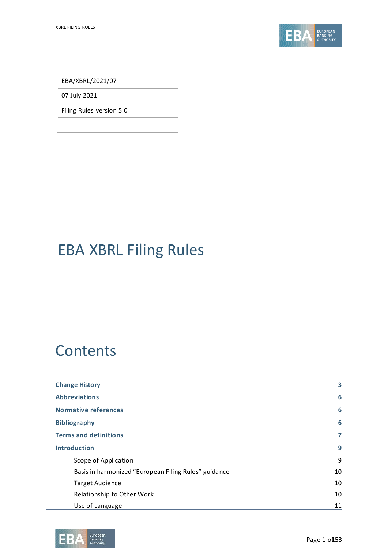

EBA/XBRL/2021/07

07 July 2021

Filing Rules version 5.0

# EBA XBRL Filing Rules

# **Contents**

| <b>Change History</b>                                | 3  |
|------------------------------------------------------|----|
| <b>Abbreviations</b>                                 | 6  |
| <b>Normative references</b>                          | 6  |
| <b>Bibliography</b>                                  | 6  |
| <b>Terms and definitions</b>                         | 7  |
| <b>Introduction</b>                                  | 9  |
| Scope of Application                                 | 9  |
| Basis in harmonized "European Filing Rules" guidance | 10 |
| <b>Target Audience</b>                               | 10 |
| Relationship to Other Work                           | 10 |
| Use of Language                                      | 11 |

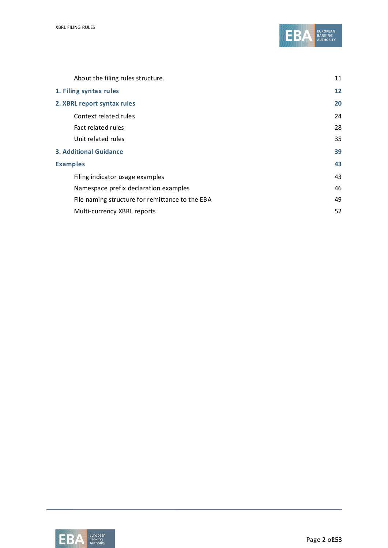

| About the filing rules structure.               | 11 |
|-------------------------------------------------|----|
| 1. Filing syntax rules                          | 12 |
| 2. XBRL report syntax rules                     | 20 |
| Context related rules                           | 24 |
| Fact related rules                              | 28 |
| Unit related rules                              | 35 |
| <b>3. Additional Guidance</b>                   | 39 |
| <b>Examples</b>                                 | 43 |
| Filing indicator usage examples                 | 43 |
| Namespace prefix declaration examples           | 46 |
| File naming structure for remittance to the EBA | 49 |
| Multi-currency XBRL reports                     | 52 |

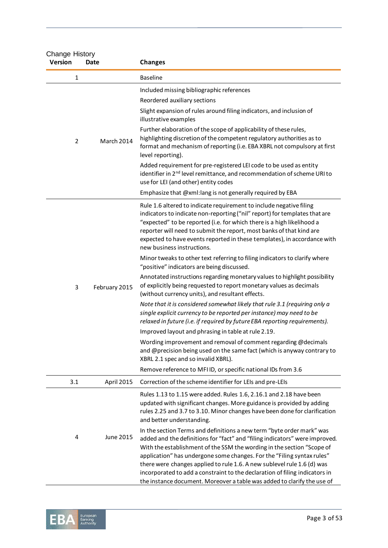| <b>Change History</b><br><b>Version</b> | Date          | <b>Changes</b>                                                                                                                                                                                                                                                                                                                                                                                                                                                                                                                                |
|-----------------------------------------|---------------|-----------------------------------------------------------------------------------------------------------------------------------------------------------------------------------------------------------------------------------------------------------------------------------------------------------------------------------------------------------------------------------------------------------------------------------------------------------------------------------------------------------------------------------------------|
| 1                                       |               | <b>Baseline</b>                                                                                                                                                                                                                                                                                                                                                                                                                                                                                                                               |
|                                         |               | Included missing bibliographic references<br>Reordered auxiliary sections<br>Slight expansion of rules around filing indicators, and inclusion of<br>illustrative examples                                                                                                                                                                                                                                                                                                                                                                    |
| $\overline{2}$                          | March 2014    | Further elaboration of the scope of applicability of these rules,<br>highlighting discretion of the competent regulatory authorities as to<br>format and mechanism of reporting (i.e. EBA XBRL not compulsory at first<br>level reporting).                                                                                                                                                                                                                                                                                                   |
|                                         |               | Added requirement for pre-registered LEI code to be used as entity<br>identifier in 2 <sup>nd</sup> level remittance, and recommendation of scheme URI to<br>use for LEI (and other) entity codes                                                                                                                                                                                                                                                                                                                                             |
|                                         |               | Emphasize that @xml:lang is not generally required by EBA                                                                                                                                                                                                                                                                                                                                                                                                                                                                                     |
|                                         |               | Rule 1.6 altered to indicate requirement to include negative filing<br>indicators to indicate non-reporting ("nil" report) for templates that are<br>"expected" to be reported (i.e. for which there is a high likelihood a<br>reporter will need to submit the report, most banks of that kind are<br>expected to have events reported in these templates), in accordance with<br>new business instructions.                                                                                                                                 |
|                                         |               | Minor tweaks to other text referring to filing indicators to clarify where<br>"positive" indicators are being discussed.                                                                                                                                                                                                                                                                                                                                                                                                                      |
| 3                                       | February 2015 | Annotated instructions regarding monetary values to highlight possibility<br>of explicitly being requested to report monetary values as decimals<br>(without currency units), and resultant effects.                                                                                                                                                                                                                                                                                                                                          |
|                                         |               | Note that it is considered somewhat likely that rule 3.1 (requiring only a<br>single explicit currency to be reported per instance) may need to be<br>relaxed in future (i.e. if required by future EBA reporting requirements).                                                                                                                                                                                                                                                                                                              |
|                                         |               | Improved layout and phrasing in table at rule 2.19.                                                                                                                                                                                                                                                                                                                                                                                                                                                                                           |
|                                         |               | Wording improvement and removal of comment regarding @decimals<br>and @precision being used on the same fact (which is anyway contrary to<br>XBRL 2.1 spec and so invalid XBRL).                                                                                                                                                                                                                                                                                                                                                              |
|                                         |               | Remove reference to MFIID, or specific national IDs from 3.6                                                                                                                                                                                                                                                                                                                                                                                                                                                                                  |
| 3.1                                     | April 2015    | Correction of the scheme identifier for LEIs and pre-LEIs                                                                                                                                                                                                                                                                                                                                                                                                                                                                                     |
|                                         |               | Rules 1.13 to 1.15 were added. Rules 1.6, 2.16.1 and 2.18 have been<br>updated with significant changes. More guidance is provided by adding<br>rules 2.25 and 3.7 to 3.10. Minor changes have been done for clarification<br>and better understanding.                                                                                                                                                                                                                                                                                       |
| 4                                       | June 2015     | In the section Terms and definitions a new term "byte order mark" was<br>added and the definitions for "fact" and "filing indicators" were improved.<br>With the establishment of the SSM the wording in the section "Scope of<br>application" has undergone some changes. For the "Filing syntax rules"<br>there were changes applied to rule 1.6. A new sublevel rule 1.6 (d) was<br>incorporated to add a constraint to the declaration of filing indicators in<br>the instance document. Moreover a table was added to clarify the use of |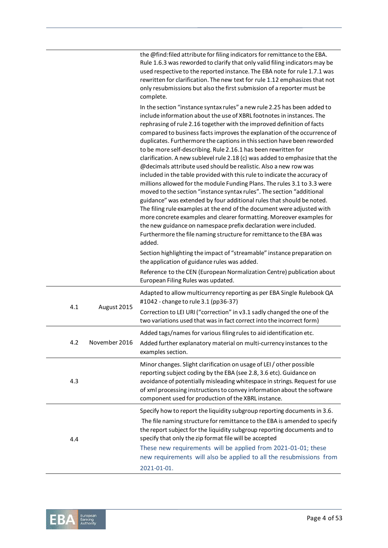|     |               | the @find:filed attribute for filing indicators for remittance to the EBA.<br>Rule 1.6.3 was reworded to clarify that only valid filing indicators may be<br>used respective to the reported instance. The EBA note for rule 1.7.1 was<br>rewritten for clarification. The new text for rule 1.12 emphasizes that not<br>only resubmissions but also the first submission of a reporter must be<br>complete.                                                                                                                                                                                                                                                                                                                                                                                                                                                                                                                                                                                                                                                                                                                                                                                                                                                                                        |
|-----|---------------|-----------------------------------------------------------------------------------------------------------------------------------------------------------------------------------------------------------------------------------------------------------------------------------------------------------------------------------------------------------------------------------------------------------------------------------------------------------------------------------------------------------------------------------------------------------------------------------------------------------------------------------------------------------------------------------------------------------------------------------------------------------------------------------------------------------------------------------------------------------------------------------------------------------------------------------------------------------------------------------------------------------------------------------------------------------------------------------------------------------------------------------------------------------------------------------------------------------------------------------------------------------------------------------------------------|
|     |               | In the section "instance syntax rules" a new rule 2.25 has been added to<br>include information about the use of XBRL footnotes in instances. The<br>rephrasing of rule 2.16 together with the improved definition of facts<br>compared to business facts improves the explanation of the occurrence of<br>duplicates. Furthermore the captions in this section have been reworded<br>to be more self-describing. Rule 2.16.1 has been rewritten for<br>clarification. A new sublevel rule 2.18 (c) was added to emphasize that the<br>@decimals attribute used should be realistic. Also a new row was<br>included in the table provided with this rule to indicate the accuracy of<br>millions allowed for the module Funding Plans. The rules 3.1 to 3.3 were<br>moved to the section "instance syntax rules". The section "additional<br>guidance" was extended by four additional rules that should be noted.<br>The filing rule examples at the end of the document were adjusted with<br>more concrete examples and clearer formatting. Moreover examples for<br>the new guidance on namespace prefix declaration were included.<br>Furthermore the file naming structure for remittance to the EBA was<br>added.<br>Section highlighting the impact of "streamable" instance preparation on |
|     |               | the application of guidance rules was added.<br>Reference to the CEN (European Normalization Centre) publication about<br>European Filing Rules was updated.                                                                                                                                                                                                                                                                                                                                                                                                                                                                                                                                                                                                                                                                                                                                                                                                                                                                                                                                                                                                                                                                                                                                        |
| 4.1 | August 2015   | Adapted to allow multicurrency reporting as per EBA Single Rulebook QA<br>#1042 - change to rule 3.1 (pp36-37)<br>Correction to LEI URI ("correction" in v3.1 sadly changed the one of the<br>two variations used that was in fact correct into the incorrect form)                                                                                                                                                                                                                                                                                                                                                                                                                                                                                                                                                                                                                                                                                                                                                                                                                                                                                                                                                                                                                                 |
| 4.2 | November 2016 | Added tags/names for various filing rules to aid identification etc.<br>Added further explanatory material on multi-currency instances to the<br>examples section.                                                                                                                                                                                                                                                                                                                                                                                                                                                                                                                                                                                                                                                                                                                                                                                                                                                                                                                                                                                                                                                                                                                                  |
| 4.3 |               | Minor changes. Slight clarification on usage of LEI / other possible<br>reporting subject coding by the EBA (see 2.8, 3.6 etc). Guidance on<br>avoidance of potentially misleading whitespace in strings. Request for use<br>of xml processing instructions to convey information about the software<br>component used for production of the XBRL instance.                                                                                                                                                                                                                                                                                                                                                                                                                                                                                                                                                                                                                                                                                                                                                                                                                                                                                                                                         |
| 4.4 |               | Specify how to report the liquidity subgroup reporting documents in 3.6.<br>The file naming structure for remittance to the EBA is amended to specify<br>the report subject for the liquidity subgroup reporting documents and to<br>specify that only the zip format file will be accepted<br>These new requirements will be applied from 2021-01-01; these<br>new requirements will also be applied to all the resubmissions from<br>2021-01-01.                                                                                                                                                                                                                                                                                                                                                                                                                                                                                                                                                                                                                                                                                                                                                                                                                                                  |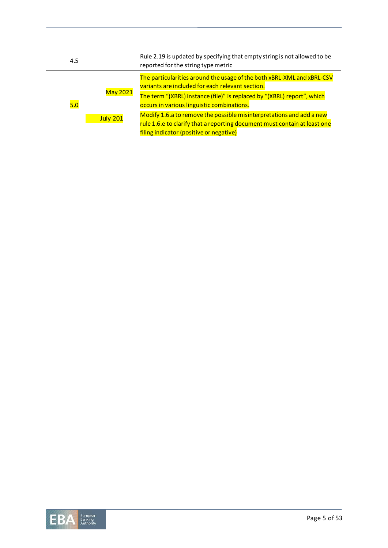| 4.5 |                                    | Rule 2.19 is updated by specifying that empty string is not allowed to be<br>reported for the string type metric                                                                                                                                                                                                                                                                                                                                    |
|-----|------------------------------------|-----------------------------------------------------------------------------------------------------------------------------------------------------------------------------------------------------------------------------------------------------------------------------------------------------------------------------------------------------------------------------------------------------------------------------------------------------|
| 5.0 | <b>May 2021</b><br><b>July 201</b> | The particularities around the usage of the both xBRL-XML and xBRL-CSV<br>variants are included for each relevant section.<br>The term "(XBRL) instance (file)" is replaced by "(XBRL) report", which<br>occurs in various linguistic combinations.<br>Modify 1.6.a to remove the possible misinterpretations and add a new<br>rule 1.6.e to clarify that a reporting document must contain at least one<br>filing indicator (positive or negative) |

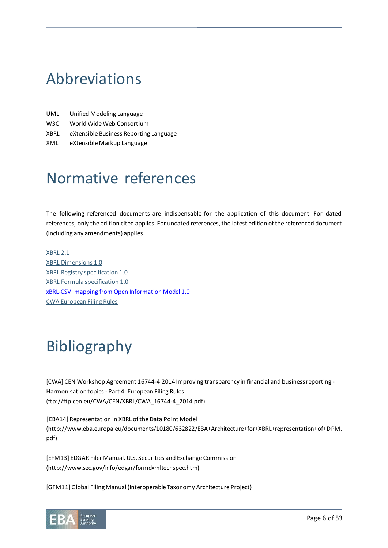# Abbreviations

- UML Unified Modeling Language
- W3C World Wide Web Consortium
- XBRL eXtensible Business Reporting Language
- XML eXtensible Markup Language

# Normative references

The following referenced documents are indispensable for the application of this document. For dated references, only the edition cited applies. For undated references, the latest edition of the referenced document (including any amendments) applies.

[XBRL 2.1](http://www.xbrl.org/specification/xbrl-recommendation-2003-12-31+corrected-errata-2012-01-25.htm) [XBRL Dimensions 1.0](http://www.xbrl.org/specification/dimensions/rec-2012-01-25/dimensions-rec-2006-09-18+corrected-errata-2012-01-25-clean.html) [XBRL Registry specification 1.0](http://www.xbrl.org/Specification/registry/REC-2009-06-22/registry-REC-2009-06-22.html) [XBRL Formula specification 1.0](http://www.xbrl.org/Specification/formula/REC-2009-06-22/overview/Formula-Overview-REC-2009-06-22.rtf) [xBRL-CSV: mapping from Open Information Model 1.0](https://www.xbrl.org/Specification/xbrl-csv/CR-2021-02-03/xbrl-csv-CR-2021-02-03.html) CWA European Filing Rules

# Bibliography

[CWA] CEN Workshop Agreement 16744-4:2014 Improving transparency in financial and business reporting - Harmonisation topics - Part 4: European Filing Rules (ftp://ftp.cen.eu/CWA/CEN/XBRL/CWA\_16744-4\_2014.pdf)

[EBA14] Representation in XBRL of the Data Point Model (http://www.eba.europa.eu/documents/10180/632822/EBA+Architecture+for+XBRL+representation+of+DPM. pdf)

[EFM13] EDGAR Filer Manual. U.S. Securities and Exchange Commission (http://www.sec.gov/info/edgar/formdxmltechspec.htm)

[GFM11] Global Filing Manual (Interoperable Taxonomy Architecture Project)

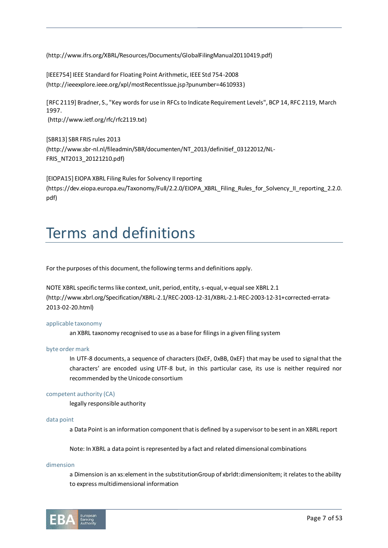(http://www.ifrs.org/XBRL/Resources/Documents/GlobalFilingManual20110419.pdf)

[IEEE754] IEEE Standard for Floating Point Arithmetic, IEEE Std 754-2008 [\(http://ieeexplore.ieee.org/xpl/mostRecentIssue.jsp?punumber=4610933\)](http://ieeexplore.ieee.org/xpl/mostRecentIssue.jsp?punumber=4610933)

[RFC 2119] Bradner, S., "Key words for use in RFCs to Indicate Requirement Levels", BCP 14, RFC 2119, March 1997. (http://www.ietf.org/rfc/rfc2119.txt)

[SBR13] SBR FRIS rules 2013 [\(http://www.sbr-nl.nl/fileadmin/SBR/documenten/NT\\_2013/definitief\\_03122012/NL-](http://www.sbr-nl.nl/fileadmin/SBR/documenten/NT_2013/definitief_03122012/NL-FRIS_NT2013_20121210.pdf)[FRIS\\_NT2013\\_20121210.pdf](http://www.sbr-nl.nl/fileadmin/SBR/documenten/NT_2013/definitief_03122012/NL-FRIS_NT2013_20121210.pdf))

[EIOPA15] EIOPA XBRL Filing Rules for Solvency II reporting (https://dev.eiopa.europa.eu/Taxonomy/Full/2.2.0/EIOPA\_XBRL\_Filing\_Rules\_for\_Solvency\_II\_reporting\_2.2.0. pdf)

# Terms and definitions

For the purposes of this document, the following terms and definitions apply.

NOTE XBRL specific terms like context, unit, period, entity, s-equal, v-equal see XBRL 2.1 (http://www.xbrl.org/Specification/XBRL-2.1/REC-2003-12-31/XBRL-2.1-REC-2003-12-31+corrected-errata-2013-02-20.html)

# applicable taxonomy

an XBRL taxonomy recognised to use as a base for filings in a given filing system

#### byte order mark

In UTF-8 documents, a sequence of characters (0xEF, 0xBB, 0xEF) that may be used to signal that the characters' are encoded using UTF-8 but, in this particular case, its use is neither required nor recommended by the Unicode consortium

#### competent authority (CA)

legally responsible authority

#### data point

a Data Point is an information component that is defined by a supervisor to be sent in an XBRL report

Note: In XBRL a data point is represented by a fact and related dimensional combinations

#### dimension

a Dimension is an xs:element in the substitutionGroup of xbrldt:dimensionItem; it relates to the ability to express multidimensional information

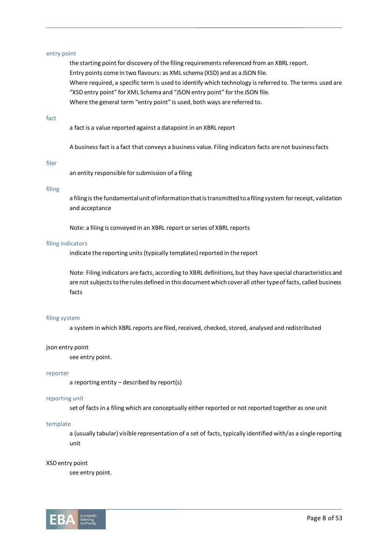# entry point

the starting point for discovery of the filing requirements referenced from an XBRL report. Entry points come in two flavours: as XML schema (XSD) and as a JSON file. Where required, a specific term is used to identify which technology is referred to. The terms used are "XSD entry point" for XML Schema and "JSON entry point" for the JSON file. Where the general term "entry point" is used, both ways are referred to.

#### fact

a fact is a value reported against a datapoint in an XBRL report

A business fact is a fact that conveys a business value. Filing indicators facts are not business facts

#### filer

an entity responsible for submission of a filing

### filing

a filing is the fundamental unit of information that is transmitted to a filing system for receipt, validation and acceptance

Note: a filing is conveyed in an XBRL report or series of XBRL reports

#### filing indicators

indicate the reporting units (typically templates) reported in the report

Note: Filing indicators are facts, according to XBRL definitions, but they have special characteristics and are not subjects to the rules defined in this document which cover all other type of facts, called business facts

# filing system

a system in which XBRL reports are filed, received, checked, stored, analysed and redistributed

#### json entry point

see entry point.

#### reporter

a reporting entity – described by report(s)

#### reporting unit

set of facts in a filing which are conceptually either reported or not reported together as one unit

#### template

a (usually tabular) visible representation of a set of facts, typically identified with/as a single reporting unit

#### XSD entry point

see entry point.

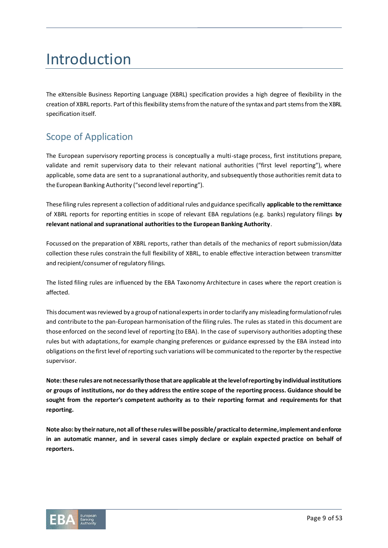# Introduction

The eXtensible Business Reporting Language (XBRL) specification provides a high degree of flexibility in the creation of XBRL reports. Part of this flexibility stems from the nature of the syntax and part stems from the XBRL specification itself.

# Scope of Application

The European supervisory reporting process is conceptually a multi-stage process, first institutions prepare, validate and remit supervisory data to their relevant national authorities ("first level reporting"), where applicable, some data are sent to a supranational authority, and subsequently those authorities remit data to the European Banking Authority ("second level reporting").

These filing rules represent a collection of additional rules and guidance specifically **applicable to the remittance**  of XBRL reports for reporting entities in scope of relevant EBA regulations (e.g. banks) regulatory filings **by relevant national and supranational authorities to the European Banking Authority**.

Focussed on the preparation of XBRL reports, rather than details of the mechanics of report submission/data collection these rules constrain the full flexibility of XBRL, to enable effective interaction between transmitter and recipient/consumer of regulatory filings.

The listed filing rules are influenced by the EBA Taxonomy Architecture in cases where the report creation is affected.

This document was reviewed by a group of national experts in order to clarify any misleading formulation of rules and contribute to the pan-European harmonisation of the filing rules. The rules as stated in this document are those enforced on the second level of reporting (to EBA). In the case of supervisory authorities adopting these rules but with adaptations, for example changing preferences or guidance expressed by the EBA instead into obligations on the first level of reporting such variations will be communicated to the reporter by the respective supervisor.

**Note: these rules are not necessarily those that are applicable at the level of reporting by individual institutions or groups of institutions, nor do they address the entire scope of the reporting process. Guidance should be sought from the reporter's competent authority as to their reporting format and requirements for that reporting.** 

**Note also: by their nature, not all of these rules will be possible/ practical to determine, implement and enforce in an automatic manner, and in several cases simply declare or explain expected practice on behalf of reporters.**

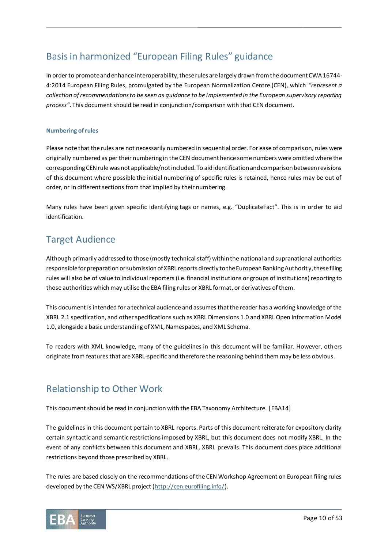# Basis in harmonized "European Filing Rules" guidance

In order to promote and enhance interoperability, these rules are largely drawn from the document CWA 16744- 4:2014 European Filing Rules, promulgated by the European Normalization Centre (CEN), which *"represent a collection of recommendations to be seen as guidance to be implemented in the European supervisory reporting process"*. This document should be read in conjunction/comparison with that CEN document.

# **Numbering of rules**

Please note that the rules are not necessarily numbered in sequential order. For ease of comparison, rules were originally numbered as per their numbering in the CEN document hence some numbers were omitted where the corresponding CEN rule was not applicable/not included. To aid identification and comparison between revisions of this document where possible the initial numbering of specific rules is retained, hence rules may be out of order, or in different sections from that implied by their numbering.

Many rules have been given specific identifying tags or names, e.g. "DuplicateFact". This is in order to aid identification.

# Target Audience

Although primarily addressed to those (mostly technical staff) within the national and supranational authorities responsible for preparation or submission of XBRL reports directly to the European Banking Authority, these filing rules will also be of value to individual reporters (i.e. financial institutions or groups of institutions) reporting to those authorities which may utilise the EBA filing rules or XBRL format, or derivatives of them.

This document is intended for a technical audience and assumes that the reader has a working knowledge of the XBRL 2.1 specification, and other specifications such as XBRL Dimensions 1.0 and XBRL Open Information Model 1.0, alongside a basic understanding of XML, Namespaces, and XML Schema.

To readers with XML knowledge, many of the guidelines in this document will be familiar. However, others originate from features that are XBRL-specific and therefore the reasoning behind them may be less obvious.

# Relationship to Other Work

This document should be read in conjunction with the EBA Taxonomy Architecture. [EBA14]

The guidelines in this document pertain to XBRL reports. Parts of this document reiterate for expository clarity certain syntactic and semantic restrictions imposed by XBRL, but this document does not modify XBRL. In the event of any conflicts between this document and XBRL, XBRL prevails. This document does place additional restrictions beyond those prescribed by XBRL.

The rules are based closely on the recommendations of the CEN Workshop Agreement on European filing rules developed by the CEN WS/XBRL project [\(http://cen.eurofiling.info/\)](http://cen.eurofiling.info/).

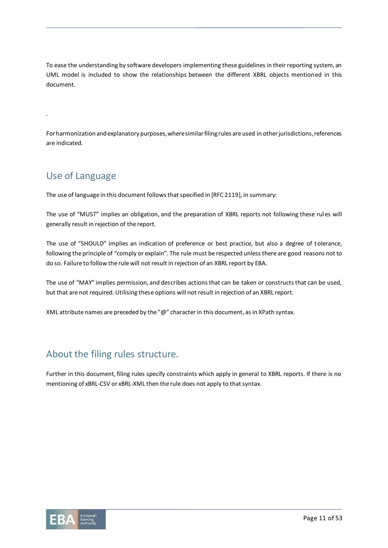To ease the understanding by software developers implementing these guidelines in their reporting system, an UML model is included to show the relationships between the different XBRL objects mentioned in this document.

.

For harmonization and explanatory purposes, where similar filing rules are used in other jurisdictions, references are indicated.

# Use of Language

The use of language in this document follows that specified in [RFC 2119], in summary:

The use of "MUST" implies an obligation, and the preparation of XBRL reports not following these rules will generally result in rejection of the report.

The use of "SHOULD" implies an indication of preference or best practice, but also a degree of tolerance, following the principle of "comply or explain". The rule must be respected unless there are good reasons not to do so. Failure to follow the rule will not result in rejection of an XBRL report by EBA.

The use of "MAY" implies permission, and describes actions that can be taken or constructs that can be used, but that are not required. Utilising these options will not result in rejection of an XBRL report.

XML attribute names are preceded by the "@" character in this document, as in XPath syntax.

# About the filing rules structure.

Further in this document, filing rules specify constraints which apply in general to XBRL reports. If there is no mentioning of xBRL-CSV or xBRL-XML then the rule does not apply to that syntax.

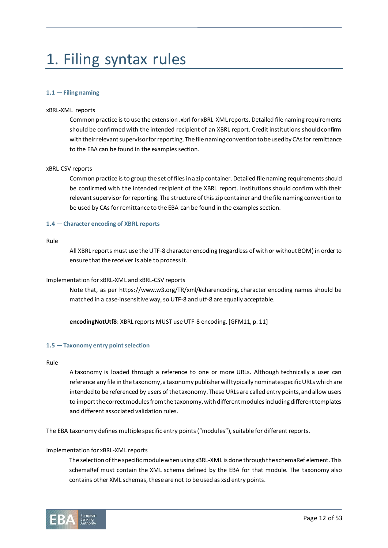# 1. Filing syntax rules

# **1.1 — Filing naming**

## xBRL-XML reports

Common practice is to use the extension .xbrl for xBRL-XML reports. Detailed file naming requirements should be confirmed with the intended recipient of an XBRL report. Credit institutions should confirm with their relevant supervisor for reporting. The file naming convention to be used by CAs for remittance to the EBA can be found in the examples section.

# xBRL-CSV reports

Common practice is to group the set of files in a zip container. Detailed file naming requirements should be confirmed with the intended recipient of the XBRL report. Institutions should confirm with their relevant supervisor for reporting. The structure of this zip container and the file naming convention to be used by CAs for remittance to the EBA can be found in the examples section.

# **1.4 — Character encoding of XBRL reports**

#### Rule

All XBRL reports must use the UTF-8 character encoding (regardless of with or without BOM) in order to ensure that the receiver is able to process it.

# Implementation for xBRL-XML and xBRL-CSV reports

Note that, as per https://www.w3.org/TR/xml/#charencoding, character encoding names should be matched in a case-insensitive way, so UTF-8 and utf-8 are equally acceptable.

**encodingNotUtf8**: XBRL reports MUST use UTF-8 encoding. [GFM11, p. 11]

# **1.5 — Taxonomy entry point selection**

#### Rule

A taxonomy is loaded through a reference to one or more URLs. Although technically a user can reference any file in the taxonomy, a taxonomy publisher will typically nominate specific URLs which are intended to be referenced by users of the taxonomy. These URLs are called entry points, and allow users to import the correct modules from the taxonomy, with different modules including different templates and different associated validation rules.

The EBA taxonomy defines multiple specific entry points ("modules"), suitable for different reports.

# Implementation for xBRL-XML reports

The selection of the specific module when using xBRL-XML is done through the schemaRef element. This schemaRef must contain the XML schema defined by the EBA for that module. The taxonomy also contains other XML schemas, these are not to be used as xsd entry points.

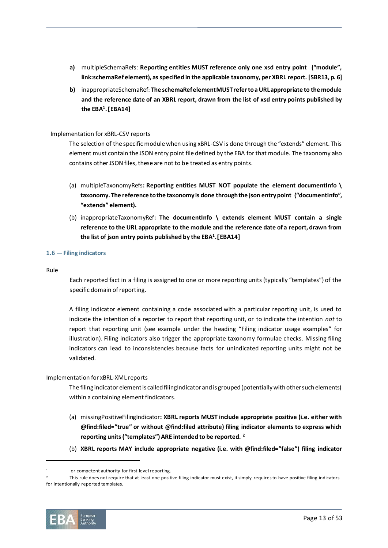- **a)** multipleSchemaRefs: **Reporting entities MUST reference only one xsd entry point ("module", link:schemaRef element), as specified in the applicable taxonomy, per XBRL report. [SBR13, p. 6]**
- <span id="page-12-0"></span>**b)** inappropriateSchemaRef: **The schemaRef element MUST refer to a URL appropriate to the module and the reference date of an XBRL report, drawn from the list of xsd entry points published by the EBA<sup>1</sup> .[EBA14]**

# Implementation for xBRL-CSV reports

The selection of the specific module when using xBRL-CSV is done through the "extends" element. This element must contain the JSON entry point file defined by the EBA for that module. The taxonomy also contains other JSON files, these are not to be treated as entry points.

- (a) multipleTaxonomyRefs**: Reporting entities MUST NOT populate the element documentInfo \ taxonomy. The reference to the taxonomy is done through the json entry point ("documentInfo", "extends" element).**
- (b) inappropriateTaxonomyRef**: The documentInfo \ extends element MUST contain a single reference to the URL appropriate to the module and the reference date of a report, drawn from the list of json entry points published by the EB[A](#page-12-0)<sup>1</sup> .[EBA14]**

# **1.6 — Filing indicators**

### Rule

Each reported fact in a filing is assigned to one or more reporting units (typically "templates") of the specific domain of reporting.

A filing indicator element containing a code associated with a particular reporting unit, is used to indicate the intention of a reporter to report that reporting unit, or to indicate the intention *not* to report that reporting unit (see example under the heading "[Filing indicator usage examples](#page-42-0)" for illustration). Filing indicators also trigger the appropriate taxonomy formulae checks. Missing filing indicators can lead to inconsistencies because facts for unindicated reporting units might not be validated.

# Implementation for xBRL-XML reports

The filing indicator element is called filingIndicator and is grouped (potentially with other such elements) within a containing element fIndicators.

- (a) missingPositiveFilingIndicator**: XBRL reports MUST include appropriate positive (i.e. either with @find:filed="true" or without @find:filed attribute) filing indicator elements to express which reporting units ("templates") ARE intended to be reported. <sup>2</sup>**
- (b) **XBRL reports MAY include appropriate negative (i.e. with @find:filed="false") filing indicator**

<sup>2</sup> This rule does not require that at least one positive filing indicator must exist, it simply requiresto have positive filing indicators for intentionally reported templates.



or competent authority for first level reporting.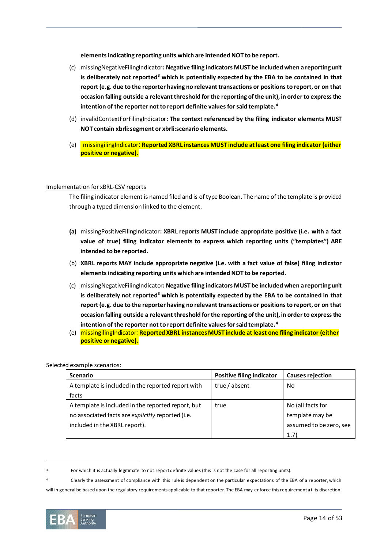<span id="page-13-1"></span><span id="page-13-0"></span>**elements indicating reporting units which are intended NOT to be report.**

- (c) missingNegativeFilingIndicator**: Negative filing indicators MUST be included when a reporting unit is deliberately not reported<sup>3</sup> which is potentially expected by the EBA to be contained in that report (e.g. due to the reporter having no relevant transactions or positions to report, or on that occasion falling outside a relevant threshold for the reporting of the unit), in order to express the intention of the reporter not to report definite values for said template.<sup>4</sup>**
- (d) invalidContextForFilingIndicator**: The context referenced by the filing indicator elements MUST NOT contain xbrli:segment or xbrli:scenario elements.**
- (e) missingilingIndicator: **Reported XBRL instances MUST include at least one filing indicator (either positive or negative).**

### Implementation for xBRL-CSV reports

The filing indicator element is named filed and is of type Boolean. The name of the template is provided through a typed dimension linked to the element.

- **(a)** missingPositiveFilingIndicator**: XBRL reports MUST include appropriate positive (i.e. with a fact value of true) filing indicator elements to express which reporting units ("templates") ARE intended to be reported.**
- (b) **XBRL reports MAY include appropriate negative (i.e. with a fact value of false) filing indicator elements indicating reporting units which are intended NOT to be reported.**
- (c) missingNegativeFilingIndicator**: Negative filing indicators MUST be included when a reporting unit is deliberately not reporte[d](#page-13-0)<sup>3</sup> which is potentially expected by the EBA to be contained in that report (e.g. due to the reporter having no relevant transactions or positions to report, or on that occasion falling outside a relevant threshold for the reporting of the unit), in order to express the intention of the reporter not to report definite values for said template[.](#page-13-1)<sup>4</sup>**
- (e) missingilingIndicator: **Reported XBRL instances MUST include at least one filing indicator (either positive or negative).**

| <b>Scenario</b>                                    | <b>Positive filing indicator</b> | <b>Causes rejection</b> |
|----------------------------------------------------|----------------------------------|-------------------------|
| A template is included in the reported report with | true / absent                    | No                      |
| facts                                              |                                  |                         |
| A template is included in the reported report, but | true                             | No (all facts for       |
| no associated facts are explicitly reported (i.e.  |                                  | template may be         |
| included in the XBRL report).                      |                                  | assumed to be zero, see |
|                                                    |                                  | (1.7)                   |

# Selected example scenarios:

will in general be based upon the regulatory requirements applicable to that reporter. The EBA may enforce this requirement at its discretion.



For which it is actually legitimate to not report definite values (this is not the case for all reporting units).

<sup>4</sup> Clearly the assessment of compliance with this rule is dependent on the particular expectations of the EBA of a reporter, which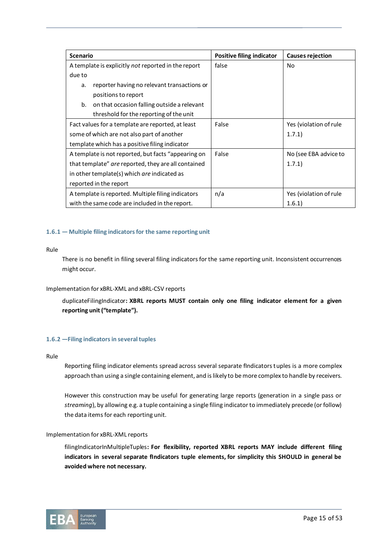| <b>Scenario</b>                                     | Positive filing indicator | <b>Causes rejection</b> |
|-----------------------------------------------------|---------------------------|-------------------------|
| A template is explicitly not reported in the report | false                     | No                      |
| due to                                              |                           |                         |
| reporter having no relevant transactions or<br>a.   |                           |                         |
| positions to report                                 |                           |                         |
| b.<br>on that occasion falling outside a relevant   |                           |                         |
| threshold for the reporting of the unit             |                           |                         |
| Fact values for a template are reported, at least   | False                     | Yes (violation of rule  |
| some of which are not also part of another          |                           | 1.7.1)                  |
| template which has a positive filing indicator      |                           |                         |
| A template is not reported, but facts "appearing on | False                     | No (see EBA advice to   |
| that template" are reported, they are all contained |                           | 1.7.1)                  |
| in other template(s) which are indicated as         |                           |                         |
| reported in the report                              |                           |                         |
| A template is reported. Multiple filing indicators  | n/a                       | Yes (violation of rule  |
| with the same code are included in the report.      |                           | 1.6.1)                  |

# **1.6.1 — Multiple filing indicators for the same reporting unit**

### Rule

There is no benefit in filing several filing indicators for the same reporting unit. Inconsistent occurrences might occur.

# Implementation for xBRL-XML and xBRL-CSV reports

duplicateFilingIndicator**: XBRL reports MUST contain only one filing indicator element for a given reporting unit ("template").**

# <span id="page-14-0"></span>**1.6.2 —Filing indicators in several tuples**

## Rule

Reporting filing indicator elements spread across several separate fIndicators tuples is a more complex approach than using a single containing element, and is likely to be more complex to handle by receivers.

However this construction may be useful for generating large reports (generation in a single pass or *streaming*), by allowing e.g. a tuple containing a single filing indicator to immediately precede (or follow) the data items for each reporting unit.

#### Implementation for xBRL-XML reports

filingIndicatorInMultipleTuples**: For flexibility, reported XBRL reports MAY include different filing indicators in several separate fIndicators tuple elements, for simplicity this SHOULD in general be avoided where not necessary.**

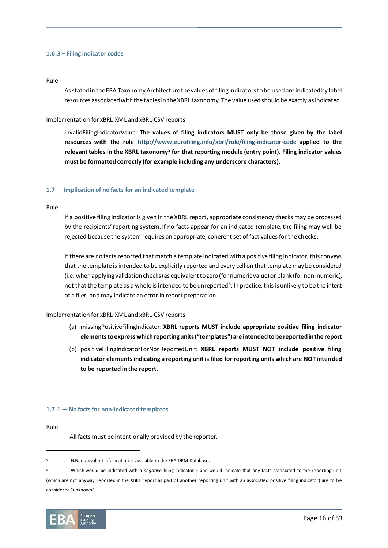## **1.6.3 – Filing indicator codes**

#### Rule

As stated in the EBA Taxonomy Architecture the values of filing indicators to be used are indicated by label resources associated with the tables in the XBRL taxonomy. The value used should be exactly as indicated.

# Implementation for xBRL-XML and xBRL-CSV reports

invalidFilingIndicatorValue: **The values of filing indicators MUST only be those given by the label resources with the role <http://www.eurofiling.info/xbrl/role/filing-indicator-code> applied to the relevant tables in the XBRL taxonomy<sup>5</sup> for that reporting module (entry point). Filing indicator values must be formatted correctly (for example including any underscore characters).**

# **1.7 — Implication of no facts for an indicated template**

Rule

If a positive filing indicator is given in the XBRL report, appropriate consistency checks may be processed by the recipients' reporting system. If no facts appear for an indicated template, the filing may well be rejected because the system requires an appropriate, coherent set of fact values for the checks.

If there are no facts reported that match a template indicated with a positive filing indicator, this conveys that the template is intended to be explicitly reported and every cell on that template may be considered (i.e. when applying validation checks) as equivalent to zero (for numeric value) or blank (for non-numeric), not that the template as a whole is intended to be unreported<sup>6</sup>. In practice, this is unlikely to be the intent of a filer, and may indicate an error in report preparation.

# Implementation for xBRL-XML and xBRL-CSV reports

- (a) missingPositiveFilingIndicator: **XBRL reports MUST include appropriate positive filing indicator elements to express which reporting units ("templates") are intended to be reported in the report**
- (b) positiveFilingIndicatorForNonReportedUnit: **XBRL reports MUST NOT include positive filing indicator elements indicating a reporting unit is filed for reporting units which are NOT intended to be reported in the report.**

# **1.7.1 — No facts for non-indicated templates**

Rule

All facts must be intentionally provided by the reporter.

<sup>6</sup> Which would be indicated with a *negative* filing indicator – and would indicate that any facts associated to the reporting unit (which are not anyway reported in the XBRL report as part of another reporting unit with an associated positive filing indicator) are to be considered "unknown"



<sup>5</sup> N.B. equivalent information is available in the EBA DPM Database.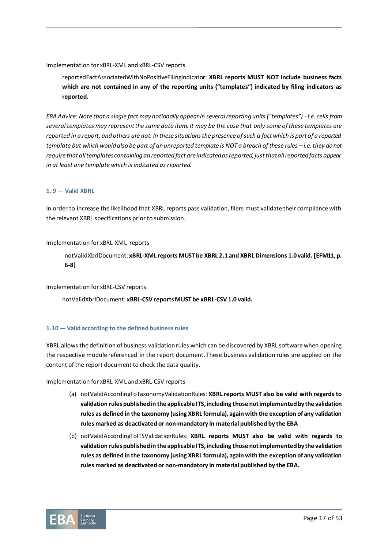# Implementation for xBRL-XML and xBRL-CSV reports

reportedFactAssociatedWithNoPositiveFilingIndicator: **XBRL reports MUST NOT include business facts which are not contained in any of the reporting units ("templates") indicated by filing indicators as reported.**

*EBA Advice: Note that a single fact may notionally appear in several reporting units ("templates") - i.e. cells from several templates may represent the same data item. It may be the case that only some of these templates are reported in a report, and others are not. In these situations the presence of such a fact which is part of a reported template but which would also be part of an unreported template is NOT a breach of these rules -i.e. they do not require that all templates containing an reported fact are indicated as reported, just that all reported facts appear in at least one template which is indicated as reported.*

# **1. 9 — Valid XBRL**

In order to increase the likelihood that XBRL reports pass validation, filers must validate their compliance with the relevant XBRL specifications prior to submission.

### Implementation for xBRL-XML reports

notValidXbrlDocument: **xBRL-XML reports MUST be XBRL 2.1 and XBRL Dimensions 1.0 valid. [EFM11, p. 6-8]**

Implementation for xBRL-CSV reports

notValidXbrlDocument: **xBRL-CSV reports MUST be xBRL-CSV 1.0 valid.**

# **1.10 — Valid according to the defined business rules**

XBRL allows the definition of business validation rules which can be discovered by XBRL software when opening the respective module referenced in the report document. These business validation rules are applied on the content of the report document to check the data quality.

#### Implementation for xBRL-XML and xBRL-CSV reports

- (a) notValidAccordingToTaxonomyValidationRules: **XBRL reports MUST also be valid with regards to validation rules published in the applicable ITS, including those not implemented by the validation rules as defined in the taxonomy (using XBRL formula), again with the exception of any validation rules marked as deactivated or non-mandatory in material published by the EBA**
- (b) notValidAccordingToITSValidationRules: **XBRL reports MUST also be valid with regards to validation rules published in the applicable ITS, including those not implemented by the validation rules as defined in the taxonomy (using XBRL formula), again with the exception of any validation rules marked as deactivated or non-mandatory in material published by the EBA.**

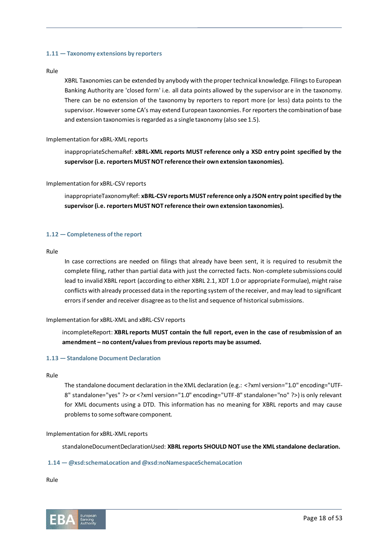# **1.11 — Taxonomy extensions by reporters**

### Rule

XBRL Taxonomies can be extended by anybody with the proper technical knowledge. Filings to European Banking Authority are 'closed form' i.e. all data points allowed by the supervisor are in the taxonomy. There can be no extension of the taxonomy by reporters to report more (or less) data points to the supervisor. However some CA's may extend European taxonomies. For reporters the combination of base and extension taxonomies is regarded as a single taxonomy (also see 1.5).

# Implementation for xBRL-XML reports

inappropriateSchemaRef: **xBRL-XML reports MUST reference only a XSD entry point specified by the supervisor (i.e. reporters MUST NOT reference their own extension taxonomies).**

# Implementation for xBRL-CSV reports

inappropriateTaxonomyRef: xBRL-CSV reports MUST reference only a JSON entry point specified by the **supervisor (i.e. reporters MUST NOT reference their own extension taxonomies).**

# **1.12 — Completeness of the report**

### Rule

In case corrections are needed on filings that already have been sent, it is required to resubmit the complete filing, rather than partial data with just the corrected facts. Non-complete submissions could lead to invalid XBRL report (according to either XBRL 2.1, XDT 1.0 or appropriate Formulae), might raise conflicts with already processed data in the reporting system of the receiver, and may lead to significant errors if sender and receiver disagree as to the list and sequence of historical submissions.

# Implementation for xBRL-XML and xBRL-CSV reports

incompleteReport: **XBRL reports MUST contain the full report, even in the case of resubmission of an amendment – no content/values from previous reports may be assumed.** 

# **1.13 — Standalone Document Declaration**

## Rule

The standalone document declaration in the XML declaration (e.g.: <?xml version="1.0" encoding="UTF-8" standalone="yes" ?> or <?xml version="1.0" encoding="UTF-8" standalone="no" ?>) is only relevant for XML documents using a DTD. This information has no meaning for XBRL reports and may cause problems to some software component.

#### Implementation for xBRL-XML reports

standaloneDocumentDeclarationUsed: **XBRL reports SHOULD NOT use the XML standalone declaration.**

#### **1.14 — @xsd:schemaLocation and @xsd:noNamespaceSchemaLocation**

Rule

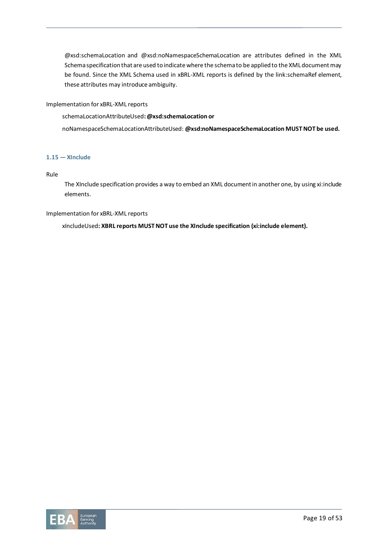@xsd:schemaLocation and @xsd:noNamespaceSchemaLocation are attributes defined in the XML Schema specification that are used to indicate where the schema to be applied to the XML document may be found. Since the XML Schema used in xBRL-XML reports is defined by the link:schemaRef element, these attributes may introduce ambiguity.

Implementation for xBRL-XML reports

schemaLocationAttributeUsed**: @xsd:schemaLocation or**

noNamespaceSchemaLocationAttributeUsed: **@xsd:noNamespaceSchemaLocation MUST NOT be used.**

# **1.15 — XInclude**

Rule

The XInclude specification provides a way to embed an XML document in another one, by using xi:include elements.

Implementation for xBRL-XML reports

xIncludeUsed**: XBRL reports MUST NOT use the XInclude specification (xi:include element).**

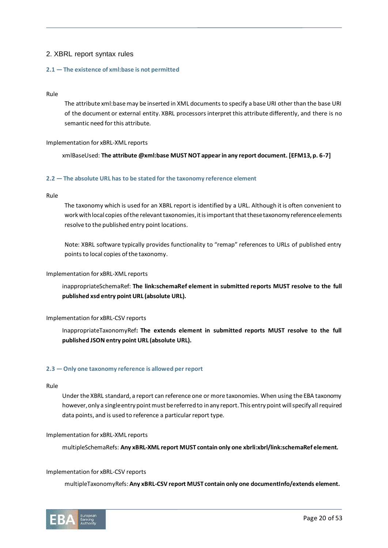# 2. XBRL report syntax rules

# **2.1 — The existence of xml:base is not permitted**

## Rule

The attribute xml:base may be inserted in XML documents to specify a base URI other than the base URI of the document or external entity. XBRL processors interpret this attribute differently, and there is no semantic need for this attribute.

### Implementation for xBRL-XML reports

xmlBaseUsed: **The attribute @xml:base MUST NOT appear in any report document. [EFM13, p. 6-7]**

### **2.2 — The absolute URL has to be stated for the taxonomy reference element**

### Rule

The taxonomy which is used for an XBRL report is identified by a URL. Although it is often convenient to work with local copies of the relevant taxonomies, it is important that these taxonomy reference elements resolve to the published entry point locations.

Note: XBRL software typically provides functionality to "remap" references to URLs of published entry points to local copies of the taxonomy.

# Implementation for xBRL-XML reports

inappropriateSchemaRef: **The link:schemaRef element in submitted reports MUST resolve to the full published xsd entry point URL (absolute URL).**

# Implementation for xBRL-CSV reports

InappropriateTaxonomyRef**: The extends element in submitted reports MUST resolve to the full published JSON entry point URL (absolute URL).**

# **2.3 — Only one taxonomy reference is allowed per report**

### Rule

Under the XBRL standard, a report can reference one or more taxonomies. When using the EBA taxonomy however, only a single entry point must be referred to in any report. This entry point will specify all required data points, and is used to reference a particular report type.

#### Implementation for xBRL-XML reports

multipleSchemaRefs: **Any xBRL-XML report MUST contain only one xbrli:xbrl/link:schemaRef element.** 

## Implementation for xBRL-CSV reports

multipleTaxonomyRefs: **Any xBRL-CSV report MUST contain only one documentInfo/extends element.** 

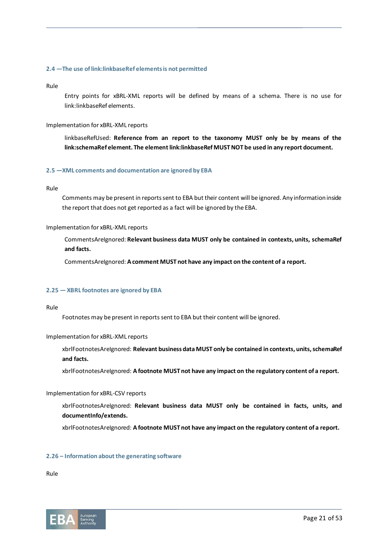### **2.4 —The use of link:linkbaseRef elements is not permitted**

#### Rule

Entry points for xBRL-XML reports will be defined by means of a schema. There is no use for link:linkbaseRef elements.

### Implementation for xBRL-XML reports

linkbaseRefUsed: **Reference from an report to the taxonomy MUST only be by means of the link:schemaRef element. The element link:linkbaseRef MUST NOT be used in any report document.**

# **2.5 —XML comments and documentation are ignored by EBA**

# Rule

Comments may be present in reports sent to EBA but their content will be ignored. Any information inside the report that does not get reported as a fact will be ignored by the EBA.

## Implementation for xBRL-XML reports

CommentsAreIgnored: **Relevant business data MUST only be contained in contexts, units, schemaRef and facts.** 

CommentsAreIgnored: **A comment MUST not have any impact on the content of a report.**

# **2.25 — XBRL footnotes are ignored by EBA**

Rule

Footnotes may be present in reports sent to EBA but their content will be ignored.

#### Implementation for xBRL-XML reports

xbrlFootnotesAreIgnored: **Relevant business data MUST only be contained in contexts, units, schemaRef and facts.** 

xbrlFootnotesAreIgnored: **A footnote MUST not have any impact on the regulatory content of a report.**

#### Implementation for xBRL-CSV reports

xbrlFootnotesAreIgnored: **Relevant business data MUST only be contained in facts, units, and documentInfo/extends.** 

xbrlFootnotesAreIgnored: **A footnote MUST not have any impact on the regulatory content of a report.**

#### **2.26 – Information about the generating software**

Rule

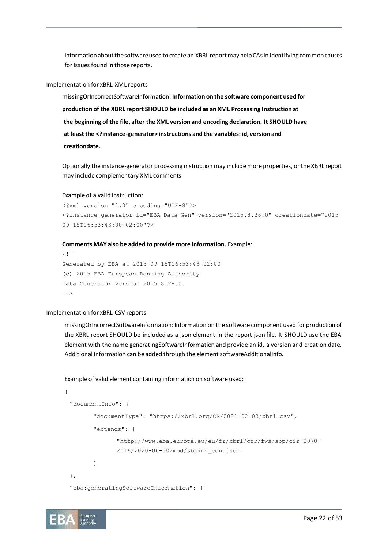Information about the software used to create an XBRL report may help CAs in identifying common causes for issues found in those reports.

#### Implementation for xBRL-XML reports

missingOrIncorrectSoftwareInformation: **Information on the software component used for production of the XBRL report SHOULD be included as an XML Processing Instruction at the beginning of the file, after the XML version and encoding declaration. It SHOULD have at least the <?instance-generator> instructions and the variables: id, version and creationdate.**

Optionally the instance-generator processing instruction may include more properties, or the XBRL report may include complementary XML comments.

#### Example of a valid instruction:

```
<?xml version="1.0" encoding="UTF-8"?>
<?instance-generator id="EBA Data Gen" version="2015.8.28.0" creationdate="2015-
09-15T16:53:43:00+02:00"?>
```
#### **Comments MAY also be added to provide more information.** Example:

```
<! --Generated by EBA at 2015-09-15T16:53:43+02:00
(c) 2015 EBA European Banking Authority
Data Generator Version 2015.8.28.0.
--
```
#### Implementation for xBRL-CSV reports

missingOrIncorrectSoftwareInformation: Information on the software component used for production of the XBRL report SHOULD be included as a json element in the report.json file. It SHOULD use the EBA element with the name generatingSoftwareInformation and provide an id, a version and creation date. Additional information can be added through the element softwareAdditionalInfo.

#### Example of valid element containing information on software used:

```
{
 "documentInfo": {
        "documentType": "https://xbrl.org/CR/2021-02-03/xbrl-csv",
        "extends": [ 
               "http://www.eba.europa.eu/eu/fr/xbrl/crr/fws/sbp/cir-2070-
               2016/2020-06-30/mod/sbpimv_con.json"
        ]
 },
 "eba:generatingSoftwareInformation": {
```
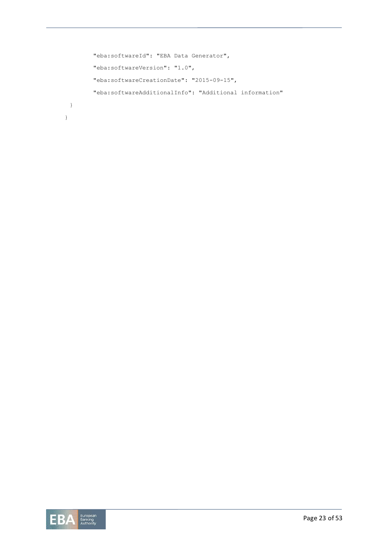```
"eba:softwareId": "EBA Data Generator",
        "eba:softwareVersion": "1.0",
        "eba:softwareCreationDate": "2015-09-15",
        "eba:softwareAdditionalInfo": "Additional information"
 }
}
```
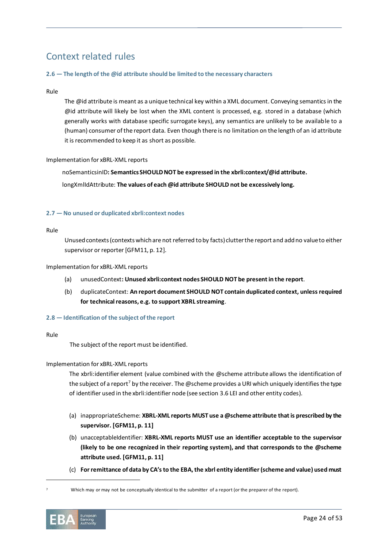# Context related rules

# **2.6 — The length of the @id attribute should be limited to the necessary characters**

# Rule

The @id attribute is meant as a unique technical key within a XML document. Conveying semantics in the @id attribute will likely be lost when the XML content is processed, e.g. stored in a database (which generally works with database specific surrogate keys), any semantics are unlikely to be available to a (human) consumer of the report data. Even though there is no limitation on the length of an id attribute it is recommended to keep it as short as possible.

# Implementation for xBRL-XML reports

noSemanticsinID**: Semantics SHOULD NOT be expressed in the xbrli:context/@id attribute.** 

longXmlIdAttribute: **The values of each @id attribute SHOULD not be excessively long.**

# <span id="page-23-0"></span>**2.7 — No unused or duplicated xbrli:context nodes**

### Rule

Unused contexts (contexts which are not referred to by facts) clutter the report and add no value to either supervisor or reporter [GFM11, p. 12].

# Implementation for xBRL-XML reports

- (a) unusedContext**: Unused xbrli:context nodes SHOULD NOT be present in the report**.
- (b) duplicateContext: **An report document SHOULD NOT contain duplicated context, unless required for technical reasons, e.g. to support XBRL streaming**.

# **2.8 — Identification of the subject of the report**

#### Rule

The subject of the report must be identified.

# Implementation for xBRL-XML reports

The xbrli:identifier element (value combined with the @scheme attribute allows the identification of the subject of a report<sup>7</sup> by the receiver. The @scheme provides a URI which uniquely identifies the type of identifier used in the xbrli:identifier node (see sectio[n 3.6 LEI and other entity codes\)](#page-38-0).

- (a) inappropriateScheme: **XBRL-XML reports MUST use a @scheme attribute that is prescribed by the supervisor. [GFM11, p. 11]**
- (b) unacceptableIdentifier: **XBRL-XML reports MUST use an identifier acceptable to the supervisor (likely to be one recognized in their reporting system), and that corresponds to the @scheme attribute used. [GFM11, p. 11]**
- (c) **For remittance of data by CA's to the EBA, the xbrl entity identifier (scheme and value) used must**

<sup>7</sup> Which may or may not be conceptually identical to the submitter of a report (or the preparer of the report).

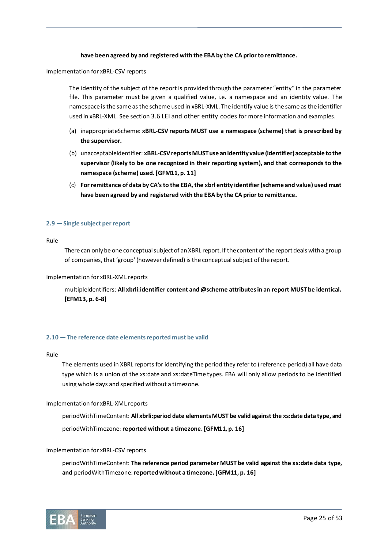# **have been agreed by and registered with the EBA by the CA prior to remittance.**

Implementation for xBRL-CSV reports

The identity of the subject of the report is provided through the parameter "entity" in the parameter file. This parameter must be given a qualified value, i.e. a namespace and an identity value. The namespace is the same as the scheme used in xBRL-XML. The identify value is the same as the identifier used in xBRL-XML. See section [3.6 LEI and other entity codes](#page-38-0) for more information and examples.

- (a) inappropriateScheme: **xBRL-CSV reports MUST use a namespace (scheme) that is prescribed by the supervisor.**
- (b) unacceptableIdentifier: **xBRL-CSV reports MUST use an identity value (identifier) acceptable to the supervisor (likely to be one recognized in their reporting system), and that corresponds to the namespace (scheme) used. [GFM11, p. 11]**
- (c) **For remittance of data by CA's to the EBA, the xbrl entity identifier (scheme and value) used must have been agreed by and registered with the EBA by the CA prior to remittance.**

### **2.9 — Single subject per report**

Rule

There can only be one conceptual subject of an XBRL report. If the content of the report deals with a group of companies, that 'group' (however defined) is the conceptual subject of the report.

#### Implementation for xBRL-XML reports

multipleIdentifiers: **All xbrli:identifier content and @scheme attributes in an report MUST be identical. [EFM13, p. 6-8]**

#### **2.10 — The reference date elements reported must be valid**

Rule

The elements used in XBRL reports for identifying the period they refer to (reference period) all have data type which is a union of the xs:date and xs:dateTime types. EBA will only allow periods to be identified using whole days and specified without a timezone.

#### Implementation for xBRL-XML reports

periodWithTimeContent: **All xbrli:period date elements MUST be valid against the xs:date data type, and**  periodWithTimezone: **reported without a timezone. [GFM11, p. 16]**

#### Implementation for xBRL-CSV reports

periodWithTimeContent: **The reference period parameter MUST be valid against the xs:date data type, and** periodWithTimezone:**reported without a timezone. [GFM11, p. 16]**

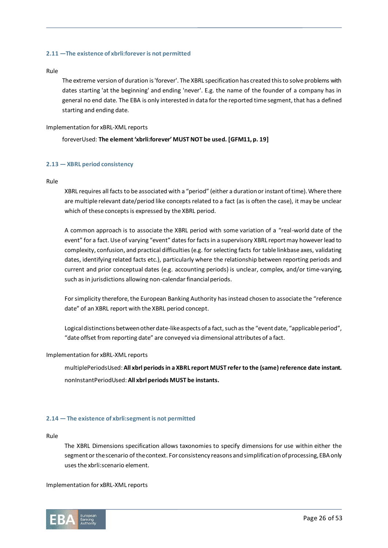# **2.11 —The existence of xbrli:forever is not permitted**

### Rule

The extreme version of duration is 'forever'. The XBRL specification has created this to solve problems with dates starting 'at the beginning' and ending 'never'. E.g. the name of the founder of a company has in general no end date. The EBA is only interested in data for the reported time segment, that has a defined starting and ending date.

Implementation for xBRL-XML reports

# foreverUsed: **The element 'xbrli:forever' MUST NOT be used. [GFM11, p. 19]**

# **2.13 — XBRL period consistency**

# Rule

XBRL requires all facts to be associated with a "period" (either a duration or instant of time). Where there are multiple relevant date/period like concepts related to a fact (as is often the case), it may be unclear which of these concepts is expressed by the XBRL period.

A common approach is to associate the XBRL period with some variation of a "real-world date of the event" for a fact. Use of varying "event" dates for facts in a supervisory XBRL report may however lead to complexity, confusion, and practical difficulties (e.g. for selecting facts for table linkbase axes, validating dates, identifying related facts etc.), particularly where the relationship between reporting periods and current and prior conceptual dates (e.g. accounting periods) is unclear, complex, and/or time-varying, such as in jurisdictions allowing non-calendar financial periods.

For simplicity therefore, the European Banking Authority has instead chosen to associate the "reference date" of an XBRL report with the XBRL period concept.

Logical distinctions between other date-like aspects of a fact, such as the "event date, "applicable period", "date offset from reporting date" are conveyed via dimensional attributes of a fact.

# Implementation for xBRL-XML reports

multiplePeriodsUsed:**All xbrl periods in a XBRL report MUST refer to the (same) reference date instant.** nonInstantPeriodUsed: **All xbrl periods MUST be instants.** 

# **2.14 — The existence of xbrli:segment is not permitted**

Rule

The XBRL Dimensions specification allows taxonomies to specify dimensions for use within either the segment or the scenario of the context. For consistency reasons and simplification of processing, EBA only uses the xbrli:scenario element.

Implementation for xBRL-XML reports

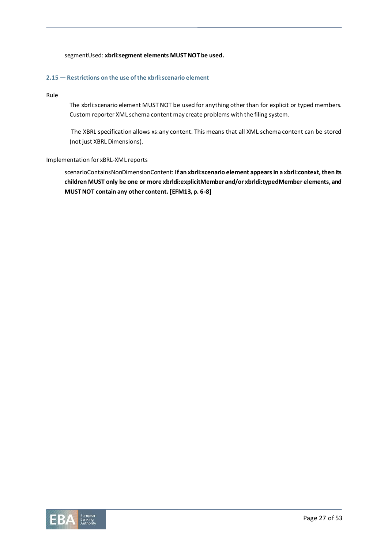# segmentUsed: **xbrli:segment elements MUST NOT be used.**

# **2.15 — Restrictions on the use of the xbrli:scenario element**

## Rule

The xbrli:scenario element MUST NOT be used for anything other than for explicit or typed members. Custom reporter XML schema content may create problems with the filing system.

The XBRL specification allows xs:any content. This means that all XML schema content can be stored (not just XBRL Dimensions).

# Implementation for xBRL-XML reports

scenarioContainsNonDimensionContent: **If an xbrli:scenario element appears in a xbrli:context, then its children MUST only be one or more xbrldi:explicitMember and/or xbrldi:typedMember elements, and MUST NOT contain any other content. [EFM13, p. 6-8]**

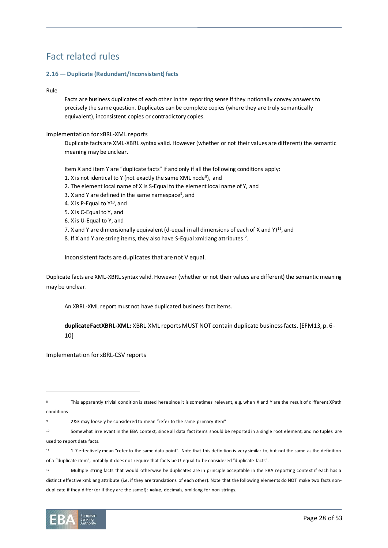# Fact related rules

# **2.16 — Duplicate (Redundant/Inconsistent) facts**

# Rule

Facts are business duplicates of each other in the reporting sense if they notionally convey answers to precisely the same question. Duplicates can be complete copies (where they are truly semantically equivalent), inconsistent copies or contradictory copies.

### Implementation for xBRL-XML reports

Duplicate facts are XML-XBRL syntax valid. However (whether or not their values are different) the semantic meaning may be unclear.

Item X and item Y are "duplicate facts" if and only if all the following conditions apply:

- 1. X is not identical to Y (not exactly the same XML node<sup>8</sup>), and
- 2. The element local name of X is S-Equal to the element local name of Y, and
- 3. X and Y are defined in the same namespace<sup>9</sup>, and
- 4. X is P-Equal to Y<sup>10</sup>, and
- 5. X is C-Equal to Y, and
- 6. X is U-Equal to Y, and
- 7. X and Y are dimensionally equivalent (d-equal in all dimensions of each of X and Y)<sup>11</sup>, and
- 8. If X and Y are string items, they also have S-Equal xml:lang attributes<sup>12</sup>.

Inconsistent facts are duplicates that are not V equal.

Duplicate facts are XML-XBRL syntax valid. However (whether or not their values are different) the semantic meaning may be unclear.

An XBRL-XML report must not have duplicated business fact items.

**duplicateFactXBRL-XML:** XBRL-XML reports MUST NOT contain duplicate business facts. [EFM13, p. 6- 10]

Implementation for xBRL-CSV reports

<sup>12</sup> Multiple string facts that would otherwise be duplicates are in principle acceptable in the EBA reporting context if each has a distinct effective xml:lang attribute (i.e. if they are translations of each other). Note that the following elements do NOT make two facts nonduplicate if they differ (or if they are the same!): **value**, decimals, xml:lang for non-strings.



This apparently trivial condition is stated here since it is sometimes relevant, e.g. when X and Y are the result of different XPath conditions

<sup>9</sup> 2&3 may loosely be considered to mean "refer to the same primary item"

<sup>10</sup> Somewhat irrelevant in the EBA context, since all data fact items should be reported in a single root element, and no tuples are used to report data facts.

<sup>11</sup> 1-7 effectively mean "refer to the same data point". Note that this definition is very similar to, but not the same as the definition of a "duplicate item", notably it does not require that facts be U-equal to be considered "duplicate facts".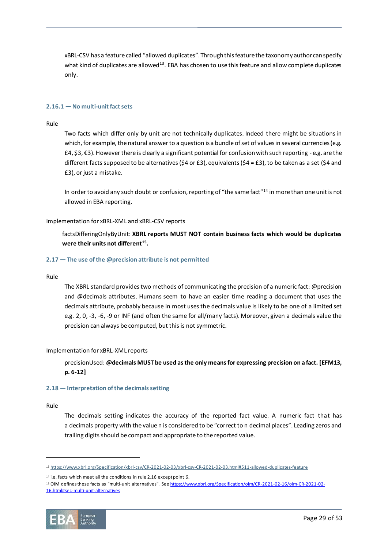xBRL-CSV has a feature called "allowed duplicates". Through this feature the taxonomy author can specify what kind of duplicates are allowed<sup>13</sup>. EBA has chosen to use this feature and allow complete duplicates only.

### **2.16.1 — No multi-unit fact sets**

#### Rule

Two facts which differ only by unit are not technically duplicates. Indeed there might be situations in which, for example, the natural answer to a question is a bundle of set of values in several currencies (e.g. £4, \$3, €3). However there is clearly a significant potential for confusion with such reporting - e.g. are the different facts supposed to be alternatives (\$4 or £3), equivalents (\$4 = £3), to be taken as a set (\$4 and £3), or just a mistake.

In order to avoid any such doubt or confusion, reporting of "the same fact"<sup>14</sup> in more than one unit is not allowed in EBA reporting.

#### Implementation for xBRL-XML and xBRL-CSV reports

factsDifferingOnlyByUnit: **XBRL reports MUST NOT contain business facts which would be duplicates were their units not different<sup>15</sup> .**

# **2.17 — The use of the @precision attribute is not permitted**

#### Rule

The XBRL standard provides two methods of communicating the precision of a numeric fact: @precision and @decimals attributes. Humans seem to have an easier time reading a document that uses the decimals attribute, probably because in most uses the decimals value is likely to be one of a limited set e.g. 2, 0, -3, -6, -9 or INF (and often the same for all/many facts). Moreover, given a decimals value the precision can always be computed, but this is not symmetric.

#### Implementation for xBRL-XML reports

precisionUsed: **@decimals MUST be used as the only means for expressing precision on a fact. [EFM13, p. 6-12]**

#### **2.18 — Interpretation of the decimals setting**

#### Rule

The decimals setting indicates the accuracy of the reported fact value. A numeric fact that has a decimals property with the value n is considered to be "correct to n decimal places". Leading zeros and trailing digits should be compact and appropriate to the reported value.

<sup>14</sup> i.e. facts which meet all the conditions in rule 2.16 except point 6.

<sup>15</sup> OIM defines these facts as "multi-unit alternatives". See [https://www.xbrl.org/Specification/oim/CR-2021-02-16/oim-CR-2021-02-](https://www.xbrl.org/Specification/oim/CR-2021-02-16/oim-CR-2021-02-16.html#sec-multi-unit-alternatives) [16.html#sec-multi-unit-alternatives](https://www.xbrl.org/Specification/oim/CR-2021-02-16/oim-CR-2021-02-16.html#sec-multi-unit-alternatives)



<sup>13</sup> <https://www.xbrl.org/Specification/xbrl-csv/CR-2021-02-03/xbrl-csv-CR-2021-02-03.html#511-allowed-duplicates-feature>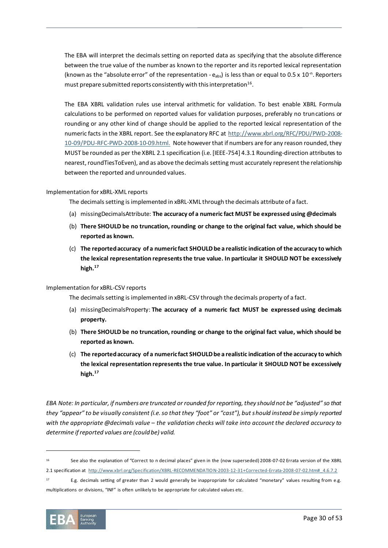The EBA will interpret the decimals setting on reported data as specifying that the absolute difference between the true value of the number as known to the reporter and its reported lexical representation (known as the "absolute error" of the representation -  $e_{abs}$ ) is less than or equal to 0.5 x 10<sup>-n</sup>. Reporters must prepare submitted reports consistently with this interpretation $^{16}$ .

The EBA XBRL validation rules use interval arithmetic for validation. To best enable XBRL Formula calculations to be performed on reported values for validation purposes, preferably no truncations or rounding or any other kind of change should be applied to the reported lexical representation of the numeric facts in the XBRL report. See the explanatory RFC at [http://www.xbrl.org/RFC/PDU/PWD-2008-](http://www.xbrl.org/RFC/PDU/PWD-2008-10-09/PDU-RFC-PWD-2008-10-09.html) [10-09/PDU-RFC-PWD-2008-10-09.html.](http://www.xbrl.org/RFC/PDU/PWD-2008-10-09/PDU-RFC-PWD-2008-10-09.html) Note however that if numbers are for any reason rounded, they MUST be rounded as per the XBRL 2.1 specification (i.e. [IEEE-754] 4.3.1 Rounding-direction attributes to nearest, round Ties To Even), and as above the decimals setting must accurately represent the relationship between the reported and unrounded values.

# Implementation for xBRL-XML reports

The decimals setting is implemented in xBRL-XML through the decimals attribute of a fact.

- (a) missingDecimalsAttribute: **The accuracy of a numeric fact MUST be expressed using @decimals**
- (b) **There SHOULD be no truncation, rounding or change to the original fact value, which should be reported as known.**
- <span id="page-29-0"></span>(c) **The reported accuracy of a numeric fact SHOULD be a realistic indication of the accuracy to which the lexical representation represents the true value. In particular it SHOULD NOT be excessively high.<sup>17</sup>**

#### Implementation for xBRL-CSV reports

The decimals setting is implemented in xBRL-CSV through the decimals property of a fact.

- (a) missingDecimalsProperty: **The accuracy of a numeric fact MUST be expressed using decimals property.**
- (b) **There SHOULD be no truncation, rounding or change to the original fact value, which should be reported as known.**
- (c) **The reported accuracy of a numeric fact SHOULD be a realistic indication of the accuracy to which the lexical representation represents the true value. In particular it SHOULD NOT be excessively high.[17](#page-29-0)**

*EBA Note: In particular, if numbers are truncated or rounded for reporting, they should not be "adjusted" so that they "appear" to be visually consistent (i.e. so that they "foot" or "cast"), but should instead be simply reported with the appropriate @decimals value – the validation checks will take into account the declared accuracy to determine if reported values are (could be) valid.*

<sup>17</sup> E.g. decimals setting of greater than 2 would generally be inappropriate for calculated "monetary" values resulting from e.g. multiplications or divisions, "INF" is often unlikely to be appropriate for calculated values etc.



<sup>16</sup> See also the explanation of "Correct to n decimal places" given in the (now superseded) 2008-07-02 Errata version of the XBRL 2.1 specification at http://www.xbrl.org/Specification/XBRL-RECOMMENDATION-2003-12-31+Corrected-Errata-2008-07-02.htm# 4.6.7.2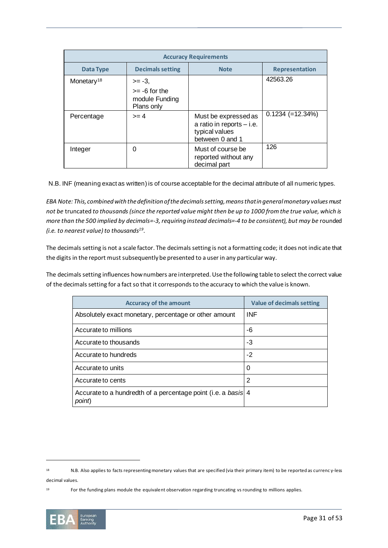| <b>Accuracy Requirements</b> |                                                             |                                                                                          |                       |
|------------------------------|-------------------------------------------------------------|------------------------------------------------------------------------------------------|-----------------------|
| Data Type                    | <b>Decimals setting</b>                                     | <b>Note</b>                                                                              | <b>Representation</b> |
| Monetary <sup>18</sup>       | $>= -3.$<br>$>= -6$ for the<br>module Funding<br>Plans only |                                                                                          | 42563.26              |
| Percentage                   | $>= 4$                                                      | Must be expressed as<br>a ratio in reports $-$ i.e.<br>typical values<br>between 0 and 1 | $0.1234 (=12.34%)$    |
| Integer                      | 0                                                           | Must of course be<br>reported without any<br>decimal part                                | 126                   |

N.B. INF (meaning exact as written) is of course acceptable for the decimal attribute of all numeric types.

*EBA Note: This, combined with the definition of the decimals setting, means that in general monetary values must not be* truncated *to thousands (since the reported value might then be up to 1000 from the true value, which is more than the 500 implied by decimals=-3, requiring instead decimals=-4 to be consistent), but may be* rounded *(i.e. to nearest value) to thousands<sup>19</sup> .*

The decimals setting is not a scale factor. The decimals setting is not a formatting code; it does not indicate that the digits in the report must subsequently be presented to a user in any particular way.

The decimals setting influences how numbers are interpreted. Use the following table to select the correct value of the decimals setting for a fact so that it corresponds to the accuracy to which the value is known.

| <b>Accuracy of the amount</b>                                           | Value of decimals setting |
|-------------------------------------------------------------------------|---------------------------|
| Absolutely exact monetary, percentage or other amount                   | <b>INF</b>                |
| Accurate to millions                                                    | -6                        |
| Accurate to thousands                                                   | -3                        |
| Accurate to hundreds                                                    | $-2$                      |
| Accurate to units                                                       | 0                         |
| Accurate to cents                                                       | 2                         |
| Accurate to a hundredth of a percentage point (i.e. a basis 4<br>point) |                           |

<sup>19</sup> For the funding plans module the equivalent observation regarding truncating vs rounding to millions applies.



<sup>18</sup> N.B. Also applies to facts representing monetary values that are specified (via their primary item) to be reported as currenc y-less decimal values.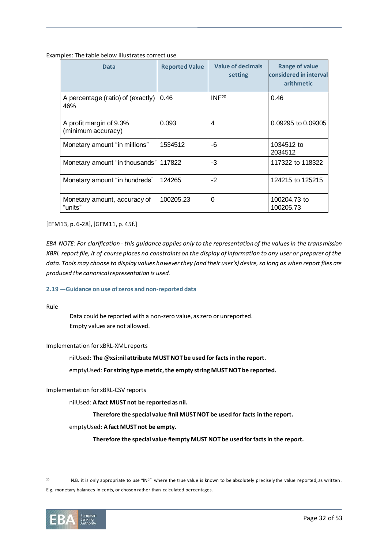Examples: The table below illustrates correct use.

| Data                                          | <b>Reported Value</b> | <b>Value of decimals</b><br>setting | <b>Range of value</b><br>considered in interval<br>arithmetic |
|-----------------------------------------------|-----------------------|-------------------------------------|---------------------------------------------------------------|
| A percentage (ratio) of (exactly)<br>46%      | 0.46                  | INF <sup>20</sup>                   | 0.46                                                          |
| A profit margin of 9.3%<br>(minimum accuracy) | 0.093                 | 4                                   | 0.09295 to 0.09305                                            |
| Monetary amount "in millions"                 | 1534512               | -6                                  | 1034512 to<br>2034512                                         |
| Monetary amount "in thousands"                | 117822                | $-3$                                | 117322 to 118322                                              |
| Monetary amount "in hundreds"                 | 124265                | $-2$                                | 124215 to 125215                                              |
| Monetary amount, accuracy of<br>"units"       | 100205.23             | $\Omega$                            | 100204.73 to<br>100205.73                                     |

[EFM13, p. 6-28], [GFM11, p. 45f.]

*EBA NOTE: For clarification - this guidance applies only to the representation of the values in the transmission XBRL report file, it of course places no constraints on the display of information to any user or preparer of the data. Tools may choose to display values however they (and their user's) desire, so long as when report files are produced the canonical representation is used.*

# **2.19 —Guidance on use of zeros and non-reported data**

Rule

Data could be reported with a non-zero value, as zero or unreported. Empty values are not allowed.

# Implementation for xBRL-XML reports

nilUsed: **The @xsi:nil attribute MUST NOT be used for facts in the report.** 

emptyUsed: **For string type metric, the empty string MUST NOT be reported.**

## Implementation for xBRL-CSV reports

nilUsed: **A fact MUST not be reported as nil.** 

**Therefore the special value #nil MUST NOT be used for facts in the report.** 

#### emptyUsed: **A fact MUST not be empty.**

**Therefore the special value #empty MUST NOT be used for facts in the report.** 

<sup>20</sup> N.B. it is only appropriate to use "INF" where the true value is known to be absolutely precisely the value reported, as written. E.g. monetary balances in cents, or chosen rather than calculated percentages.

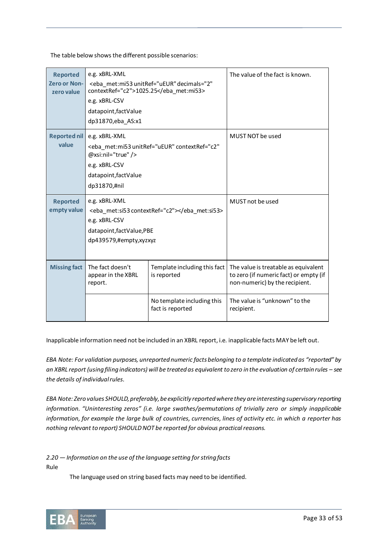The table below shows the different possible scenarios:

| <b>Reported</b><br><b>Zero or Non-</b><br>zero value | e.g. xBRL-XML<br>contextRef="c2">1025.25<br>e.g. xBRL-CSV<br>datapoint, fact Value<br>dp31870,eba AS:x1                                | <eba <="" decimals="2" met:mi53="" th="" unitref="uEUR"><th>The value of the fact is known.</th></eba> | The value of the fact is known.                                                                                  |
|------------------------------------------------------|----------------------------------------------------------------------------------------------------------------------------------------|--------------------------------------------------------------------------------------------------------|------------------------------------------------------------------------------------------------------------------|
| <b>Reported nil</b><br>value                         | e.g. xBRL-XML<br>@xsi:nil="true" /><br>e.g. xBRL-CSV<br>datapoint, fact Value<br>dp31870,#nil                                          | <eba <="" contextref="c2" met:mi53="" th="" unitref="uEUR"><th>MUST NOT be used</th></eba>             | MUST NOT be used                                                                                                 |
| <b>Reported</b><br>empty value                       | e.g. xBRL-XML<br><eba_met:si53 contextref="c2"></eba_met:si53><br>e.g. xBRL-CSV<br>datapoint, factValue, PBE<br>dp439579,#empty,xyzxyz |                                                                                                        | MUST not be used                                                                                                 |
| <b>Missing fact</b>                                  | The fact doesn't<br>appear in the XBRL<br>report.                                                                                      | Template including this fact<br>is reported                                                            | The value is treatable as equivalent<br>to zero (if numeric fact) or empty (if<br>non-numeric) by the recipient. |
|                                                      |                                                                                                                                        | No template including this<br>fact is reported                                                         | The value is "unknown" to the<br>recipient.                                                                      |

Inapplicable information need not be included in an XBRL report, i.e. inapplicable facts MAY be left out.

*EBA Note: For validation purposes, unreported numeric facts belonging to a template indicated as "reported" by an XBRL report (using filing indicators) will be treated as equivalent to zero in the evaluation of certain rules – see the details of individual rules.*

*EBA Note: Zero values SHOULD, preferably, be explicitly reported where they are interesting supervisory reporting information. "Uninteresting zeros" (i.e. large swathes/permutations of trivially zero or simply inapplicable information, for example the large bulk of countries, currencies, lines of activity etc. in which a reporter has nothing relevant to report) SHOULD NOT be reported for obvious practical reasons.*

*2.20 — Information on the use of the language setting for string facts*

Rule

The language used on string based facts may need to be identified.

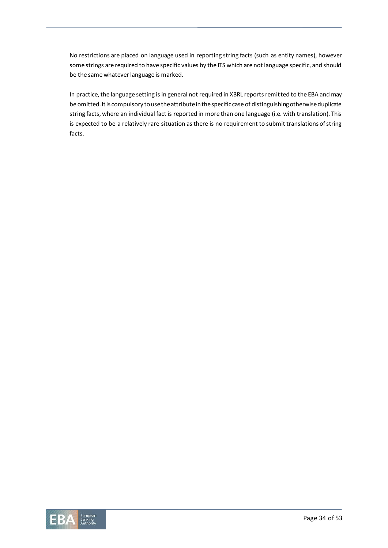No restrictions are placed on language used in reporting string facts (such as entity names), however some strings are required to have specific values by the ITS which are not language specific, and should be the same whatever language is marked.

In practice, the language setting is in general not required in XBRL reports remitted to the EBA and may be omitted. It is compulsory to use the attribute in the specific case of distinguishing otherwise duplicate string facts, where an individual fact is reported in more than one language (i.e. with translation). This is expected to be a relatively rare situation as there is no requirement to submit translations of string facts.

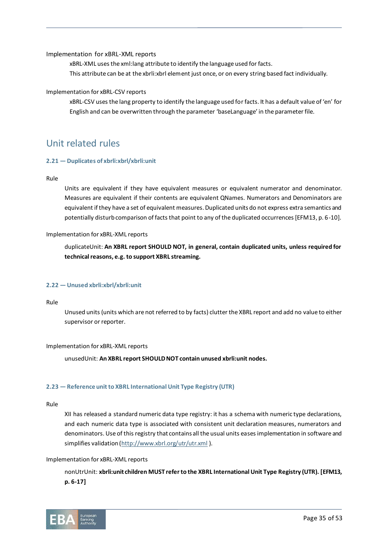Implementation for xBRL-XML reports

xBRL-XML uses the xml:lang attribute to identify the language used for facts. This attribute can be at the xbrli:xbrl element just once, or on every string based fact individually.

# Implementation for xBRL-CSV reports

xBRL-CSV uses the lang property to identify the language used for facts. It has a default value of 'en' for English and can be overwritten through the parameter 'baseLanguage' in the parameter file.

# Unit related rules

# <span id="page-34-0"></span>**2.21 — Duplicates of xbrli:xbrl/xbrli:unit**

# Rule

Units are equivalent if they have equivalent measures or equivalent numerator and denominator. Measures are equivalent if their contents are equivalent QNames. Numerators and Denominators are equivalent if they have a set of equivalent measures. Duplicated units do not express extra semantics and potentially disturb comparison of facts that point to any of the duplicated occurrences [EFM13, p. 6-10].

# Implementation for xBRL-XML reports

duplicateUnit: **An XBRL report SHOULD NOT, in general, contain duplicated units, unless required for technical reasons, e.g. to support XBRL streaming.**

# **2.22 — Unused xbrli:xbrl/xbrli:unit**

# Rule

Unused units (units which are not referred to by facts) clutter the XBRL report and add no value to either supervisor or reporter.

# Implementation for xBRL-XML reports

unusedUnit: **An XBRL report SHOULD NOT contain unused xbrli:unit nodes.**

# **2.23 — Reference unit to XBRL International Unit Type Registry (UTR)**

# Rule

XII has released a standard numeric data type registry: it has a schema with numeric type declarations, and each numeric data type is associated with consistent unit declaration measures, numerators and denominators. Use of this registry that contains all the usual units eases implementation in software and simplifies validation [\(http://www.xbrl.org/utr/utr.xml](http://www.xbrl.org/utr/utr.xml)).

# Implementation for xBRL-XML reports

nonUtrUnit: **xbrli:unit children MUST refer to the XBRL International Unit Type Registry (UTR). [EFM13, p. 6-17]**

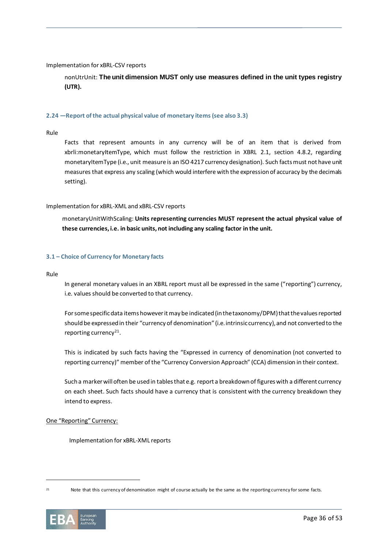# Implementation for xBRL-CSV reports

nonUtrUnit: **The unit dimension MUST only use measures defined in the unit types registry (UTR).** 

### **2.24 —Report of the actual physical value of monetary items (see also 3.3)**

Rule

Facts that represent amounts in any currency will be of an item that is derived from xbrli:monetaryItemType, which must follow the restriction in XBRL 2.1, section 4.8.2, regarding monetaryItemType (i.e., unit measure is an ISO 4217 currency designation). Such facts must not have unit measures that express any scaling (which would interfere with the expression of accuracy by the decimals setting).

#### Implementation for xBRL-XML and xBRL-CSV reports

monetaryUnitWithScaling: **Units representing currencies MUST represent the actual physical value of these currencies, i.e. in basic units, not including any scaling factor in the unit.** 

### <span id="page-35-0"></span>**3.1 – Choice of Currency for Monetary facts**

Rule

In general monetary values in an XBRL report must all be expressed in the same ("reporting") currency, i.e. values should be converted to that currency.

For some specific data items however it may be indicated (in the taxonomy/DPM) that the values reported should be expressed in their "currency of denomination" (i.e. intrinsic currency), and not converted to the reporting currency<sup>21</sup>.

This is indicated by such facts having the "Expressed in currency of denomination (not converted to reporting currency)" member of the "Currency Conversion Approach" (CCA) dimension in their context.

Such a marker will often be used in tables that e.g. report a breakdown of figures with a different currency on each sheet. Such facts should have a currency that is consistent with the currency breakdown they intend to express.

# One "Reporting" Currency:

Implementation for xBRL-XML reports

<sup>21</sup> Note that this currency of denomination might of course actually be the same as the reporting currency for some facts.

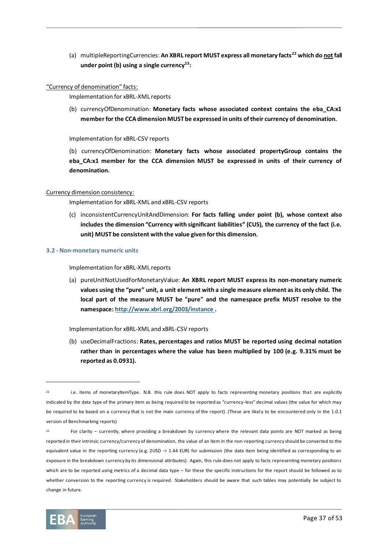(a) multipleReportingCurrencies: **An XBRL report MUST express all monetary facts<sup>22</sup> which do not fall under point [\(b\)](#page-36-1) using a single currency<sup>23</sup>:** 

## <span id="page-36-1"></span>"Currency of denomination" facts:

Implementation for xBRL-XML reports

(b) currencyOfDenomination: **Monetary facts whose associated context contains the eba\_CA:x1 member for the CCA dimension MUST be expressed in units of their currency of denomination.**

Implementation for xBRL-CSV reports

(b) currencyOfDenomination: **Monetary facts whose associated propertyGroup contains the**  eba CA:x1 member for the CCA dimension MUST be expressed in units of their currency of **denomination.**

### Currency dimension consistency:

Implementation for xBRL-XML and xBRL-CSV reports

(c) inconsistentCurrencyUnitAndDimension: **For facts falling under point [\(b\),](#page-36-1) whose context also includes the dimension "Currency with significant liabilities" (CUS), the currency of the fact (i.e. unit) MUST be consistent with the value given for this dimension.**

#### <span id="page-36-0"></span>**3.2 - Non-monetary numeric units**

Implementation for xBRL-XML reports

(a) pureUnitNotUsedForMonetaryValue: **An XBRL report MUST express its non-monetary numeric values using the "pure" unit, a unit element with a single measure element as its only child. The local part of the measure MUST be "pure" and the namespace prefix MUST resolve to the namespace[: http://www.xbrl.org/2003/instance](http://www.xbrl.org/2003/instance) .**

Implementation for xBRL-XML and xBRL-CSV reports

(b) useDecimalFractions: **Rates, percentages and ratios MUST be reported using decimal notation rather than in percentages where the value has been multiplied by 100 (e.g. 9.31% must be reported as 0.0931).**

 $23$  For clarity – currently, where providing a breakdown by currency where the relevant data points are NOT marked as being reported in their intrinsic currency/currency of denomination, the value of an item in the non-reporting currency should be converted to the equivalent value in the reporting currency (e.g. 2USD -> 1.44 EUR) for submission (the data item being identified as corresponding to an exposure in the breakdown currency by its dimensional attributes). Again, this rule does not apply to facts representing monetary positions which are to be reported using metrics of a decimal data type – for these the specific instructions for the report should be followed as to whether conversion to the reporting currency is required. Stakeholders should be aware that such tables may potentially be subject to change in future.



<sup>&</sup>lt;sup>22</sup> i.e. items of monetaryItemType. N.B. this rule does NOT apply to facts representing monetary positions that are explicitly indicated by the data type of the primary item as being required to be reported as "currency-less" decimal values (the value for which may be required to be based on a currency that is not the main currency of the report). (These are likely to be encountered only in the 1.0.1 version of Benchmarking reports)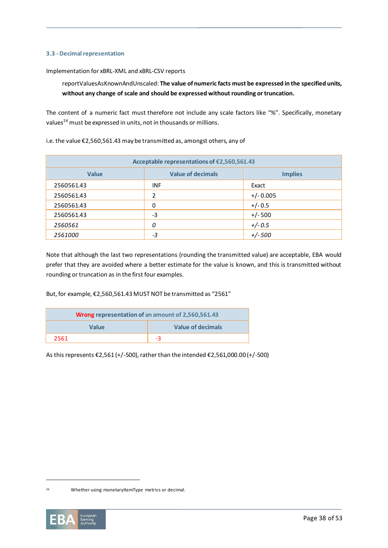# **3.3 - Decimal representation**

Implementation for xBRL-XML and xBRL-CSV reports

reportValuesAsKnownAndUnscaled: **The value of numeric facts must be expressed in the specified units, without any change of scale and should be expressed without rounding or truncation.**

The content of a numeric fact must therefore not include any scale factors like "%". Specifically, monetary values<sup>24</sup> must be expressed in units, not in thousands or millions.

i.e. the value €2,560,561.43 may be transmitted as, amongst others, any of

| Acceptable representations of €2,560,561.43 |                          |                |  |
|---------------------------------------------|--------------------------|----------------|--|
| <b>Value</b>                                | <b>Value of decimals</b> | <b>Implies</b> |  |
| 2560561.43                                  | <b>INF</b>               | Exact          |  |
| 2560561.43                                  | 2                        | $+/-0.005$     |  |
| 2560561.43                                  | 0                        | $+/- 0.5$      |  |
| 2560561.43                                  | -3                       | $+/- 500$      |  |
| 2560561                                     | 0                        | $+/- 0.5$      |  |
| 2561000                                     | -3                       | $+/- 500$      |  |

Note that although the last two representations (rounding the transmitted value) are acceptable, EBA would prefer that they are avoided where a better estimate for the value is known, and this is transmitted without rounding or truncation as in the first four examples.

But, for example, €2,560,561.43 MUST NOT be transmitted as "2561"

| <b>Wrong representation of an amount of 2,560,561.43</b> |                   |
|----------------------------------------------------------|-------------------|
| <b>Value</b>                                             | Value of decimals |
| 2561                                                     |                   |

As this represents €2,561 (+/-500), rather than the intended €2,561,000.00 (+/-500)

<sup>24</sup> Whether using monetaryItemType metrics or decimal.

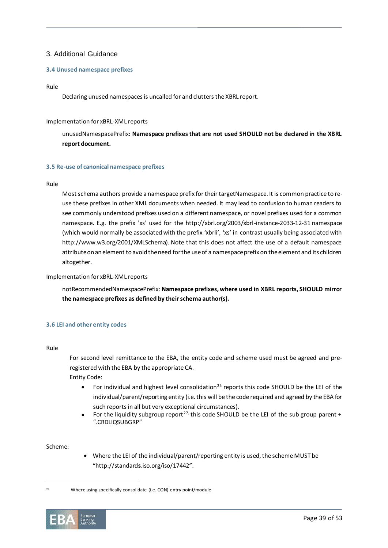# 3. Additional Guidance

## **3.4 Unused namespace prefixes**

#### Rule

Declaring unused namespaces is uncalled for and clutters the XBRL report.

## Implementation for xBRL-XML reports

unusedNamespacePrefix: **Namespace prefixes that are not used SHOULD not be declared in the XBRL report document.**

### **3.5 Re-use of canonical namespace prefixes**

#### Rule

Most schema authors provide a namespace prefix for their targetNamespace. It is common practice to reuse these prefixes in other XML documents when needed. It may lead to confusion to human readers to see commonly understood prefixes used on a different namespace, or novel prefixes used for a common namespace. E.g. the prefix 'xs' used for the http://xbrl.org/2003/xbrl-instance-2033-12-31 namespace (which would normally be associated with the prefix 'xbrli', 'xs' in contrast usually being associated with http://www.w3.org/2001/XMLSchema). Note that this does not affect the use of a default namespace attribute on an element to avoid the need for the use of a namespace prefix on the element and its children altogether.

#### Implementation for xBRL-XML reports

notRecommendedNamespacePrefix: **Namespace prefixes, where used in XBRL reports, SHOULD mirror the namespace prefixes as defined by their schema author(s).**

# <span id="page-38-0"></span>**3.6 LEI and other entity codes**

#### Rule

For second level remittance to the EBA, the entity code and scheme used must be agreed and preregistered with the EBA by the appropriate CA.

Entity Code:

- For individual and highest level consolidation<sup>25</sup> reports this code SHOULD be the LEI of the individual/parent/reporting entity (i.e. this will be the code required and agreed by the EBA for such reports in all but very exceptional circumstances).
- For the liquidity subgroup report<sup>[27,](#page-41-0)</sup> this code SHOULD be the LEI of the sub group parent + ".CRDLIQSUBGRP"

### Scheme:

• Where the LEI of the individual/parent/reporting entity is used, the scheme MUST be "http://standard**s**.iso.org/iso/17442".

<sup>25</sup> Where using specifically consolidate (i.e. CON) entry point/module

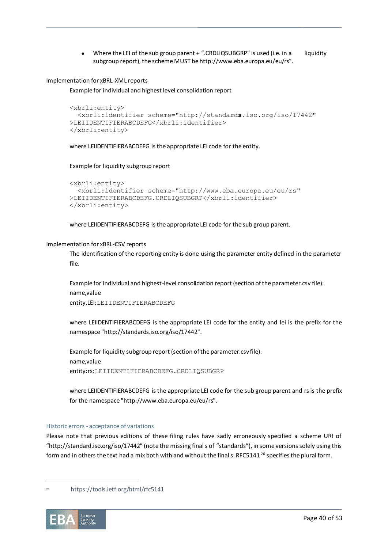Where the LEI of the sub group parent + ".CRDLIQSUBGRP" is used (i.e. in a liquidity subgroup report), the scheme MUST be http://www.eba.europa.eu/eu/rs".

Implementation for xBRL-XML reports

Example for individual and highest level consolidation report

```
<xbrli:entity>
   <xbrli:identifier scheme="http://standards.iso.org/iso/17442" 
>LEIIDENTIFIERABCDEFG</xbrli:identifier>
</xbrli:entity>
```
where LEIIDENTIFIERABCDEFG is the appropriate LEI code for the entity.

Example for liquidity subgroup report

```
<xbrli:entity>
   <xbrli:identifier scheme="http://www.eba.europa.eu/eu/rs" 
>LEIIDENTIFIERABCDEFG.CRDLIQSUBGRP</xbrli:identifier>
</xbrli:entity>
```
where LEIIDENTIFIERABCDEFG is the appropriate LEI code for the sub group parent.

### Implementation for xBRL-CSV reports

The identification of the reporting entity is done using the parameter entity defined in the parameter file.

Example for individual and highest-level consolidation report (section of the parameter.csv file): name,value entity,LEI:LEIIDENTIFIERABCDEFG

where LEIIDENTIFIERABCDEFG is the appropriate LEI code for the entity and lei is the prefix for the namespace "http://standards.iso.org/iso/17442".

Example for liquidity subgroup report (section of the parameter.csv file): name,value entity:rs:LEIIDENTIFIERABCDEFG.CRDLIQSUBGRP

where LEIIDENTIFIERABCDEFG is the appropriate LEI code for the sub group parent and rs is the prefix for the namespace "http://www.eba.europa.eu/eu/rs".

# Historic errors - acceptance of variations

Please note that previous editions of these filing rules have sadly erroneously specified a scheme URI of "http://standard.iso.org/iso/17442" (note the missing final s of "standards"), in some versions solely using this form and in others the text had a mix both with and without the final s. RFC5141<sup>26</sup> specifies the plural form.

<sup>26</sup> https://tools.ietf.org/html/rfc5141

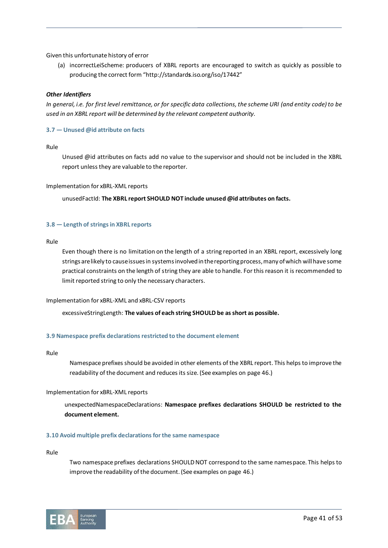Given this unfortunate history of error

(a) incorrectLeiScheme: producers of XBRL reports are encouraged to switch as quickly as possible to producing the correct form "http://standard**s**.iso.org/iso/17442"

# *Other Identifiers*

*In general, i.e. for first level remittance, or for specific data collections, the scheme URI (and entity code) to be used in an XBRL report will be determined by the relevant competent authority.*

# **3.7 — Unused @id attribute on facts**

Rule

Unused @id attributes on facts add no value to the supervisor and should not be included in the XBRL report unless they are valuable to the reporter.

### Implementation for xBRL-XML reports

unusedFactId: **The XBRL report SHOULD NOT include unused @id attributes on facts.**

# **3.8 — Length of strings in XBRL reports**

Rule

Even though there is no limitation on the length of a string reported in an XBRL report, excessively long strings are likely to cause issues in systems involved in the reporting process, many of which will have some practical constraints on the length of string they are able to handle. For this reason it is recommended to limit reported string to only the necessary characters.

# Implementation for xBRL-XML and xBRL-CSV reports

excessiveStringLength: **The values of each string SHOULD be as short as possible.**

# **3.9 Namespace prefix declarations restricted to the document element**

Rule

Namespace prefixes should be avoided in other elements of the XBRL report. This helps to improve the readability of the document and reduces its size. (See examples on page [46.](#page-45-0))

# Implementation for xBRL-XML reports

unexpectedNamespaceDeclarations: **Namespace prefixes declarations SHOULD be restricted to the document element.** 

#### **3.10 Avoid multiple prefix declarations for the same namespace**

Rule

Two namespace prefixes declarations SHOULD NOT correspond to the same namespace. This helps to improve the readability of the document. (See examples on pag[e 46.](#page-45-0))

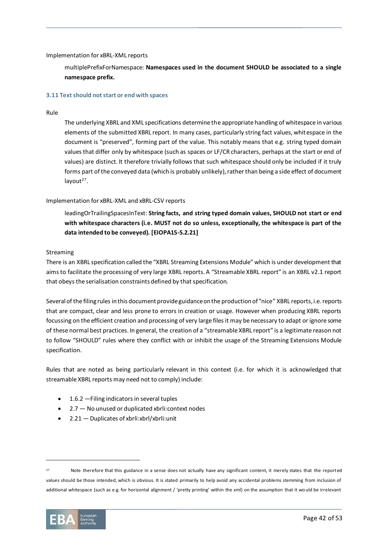# Implementation for xBRL-XML reports

multiplePrefixForNamespace: **Namespaces used in the document SHOULD be associated to a single namespace prefix.** 

### **3.11 Text should not start or end with spaces**

#### Rule

The underlying XBRL and XML specifications determine the appropriate handling of whitespace in various elements of the submitted XBRL report. In many cases, particularly string fact values, whitespace in the document is "preserved", forming part of the value. This notably means that e.g. string typed domain values that differ only by whitespace (such as spaces or LF/CR characters, perhaps at the start or end of values) are distinct. It therefore trivially follows that such whitespace should only be included if it truly forms part of the conveyed data (which is probably unlikely), rather than being a side effect of document layout<sup>27</sup>.

# Implementation for xBRL-XML and xBRL-CSV reports

<span id="page-41-0"></span>leadingOrTrailingSpacesInText: **String facts, and string typed domain values, SHOULD not start or end with whitespace characters (i.e. MUST not do so unless, exceptionally, the whitespace is part of the data intended to be conveyed). [EIOPA15-S.2.21]**

### Streaming

There is an XBRL specification called the "XBRL Streaming Extensions Module" which is under development that aims to facilitate the processing of very large XBRL reports. A "Streamable XBRL report" is an XBRL v2.1 report that obeys the serialisation constraints defined by that specification.

Several of the filing rules in this document provide guidance on the production of "nice" XBRL reports, i.e. reports that are compact, clear and less prone to errors in creation or usage. However when producing XBRL reports focussing on the efficient creation and processing of very large files it may be necessary to adapt or ignore some of these normal best practices. In general, the creation of a "streamable XBRL report" is a legitimate reason not to follow "SHOULD" rules where they conflict with or inhibit the usage of the Streaming Extensions Module specification.

Rules that are noted as being particularly relevant in this context (i.e. for which it is acknowledged that streamable XBRL reports may need not to comply) include:

- 1.6.2 [Filing indicators in several tuples](#page-14-0)
- 2.7 [No unused or duplicated xbrli:context nodes](#page-23-0)
- 2.21 [Duplicates of xbrli:xbrl/xbrli:unit](#page-34-0)

<sup>27</sup> Note therefore that this guidance in a sense does not actually have any significant content, it merely states that the reported values should be those intended, which is obvious. It is stated primarily to help avoid any accidental problems stemming from inclusion of additional whitespace (such as e.g. for horizontal alignment / 'pretty printing' within the xml) on the assumption that it wo uld be irrelevant

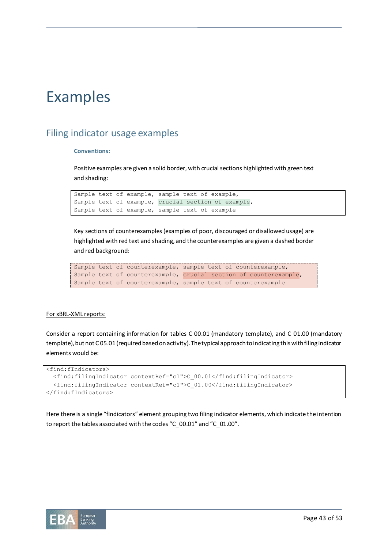# Examples

# <span id="page-42-0"></span>Filing indicator usage examples

# **Conventions:**

Positive examples are given a solid border, with crucial sections highlighted with green text and shading:

```
Sample text of example, sample text of example,
Sample text of example, crucial section of example,
Sample text of example, sample text of example
```
Key sections of counterexamples (examples of poor, discouraged or disallowed usage) are highlighted with red text and shading, and the counterexamples are given a dashed border and red background:

```
Sample text of counterexample, sample text of counterexample,
Sample text of counterexample, crucial section of counterexample,
Sample text of counterexample, sample text of counterexample
```
# For xBRL-XML reports:

Consider a report containing information for tables C 00.01 (mandatory template), and C 01.00 (mandatory template), but not C 05.01 (required based on activity). The typical approach to indicating this with filing indicator elements would be:

```
<find:fIndicators>
  <find:filingIndicator contextRef="c1">C_00.01</find:filingIndicator>
  <find:filingIndicator contextRef="c1">C_01.00</find:filingIndicator>
</find:fIndicators>
```
Here there is a single "fIndicators" element grouping two filing indicator elements, which indicate the intention to report the tables associated with the codes "C\_00.01" and "C\_01.00".

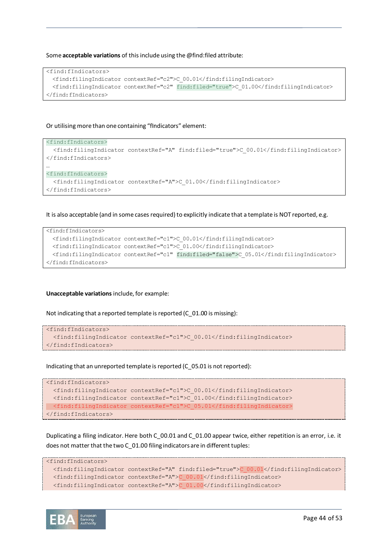Some **acceptable variations** of this include using the @find:filed attribute:

```
<find:fIndicators>
  <find:filingIndicator contextRef="c2">C_00.01</find:filingIndicator>
  <find:filingIndicator contextRef="c2" find:filed="true">C_01.00</find:filingIndicator>
</find:fIndicators>
```
## Or utilising more than one containing "fIndicators" element:

```
<find:fIndicators>
   <find:filingIndicator contextRef="A" find:filed="true">C_00.01</find:filingIndicator>
</find:fIndicators>
…
<find:fIndicators>
   <find:filingIndicator contextRef="A">C_01.00</find:filingIndicator>
</find:fIndicators>
```
It is also acceptable (and in some cases required) to explicitly indicate that a template is NOT reported, e.g.

```
<find:fIndicators>
  <find:filingIndicator contextRef="c1">C_00.01</find:filingIndicator>
  <find:filingIndicator contextRef="c1">C_01.00</find:filingIndicator>
  <find:filingIndicator contextRef="c1" find:filed="false">C_05.01</find:filingIndicator>
</find:fIndicators>
```
#### **Unacceptable variations** include, for example:

Not indicating that a reported template is reported (C\_01.00 is missing):

```
<find:fIndicators>
  <find:filingIndicator contextRef="c1">C_00.01</find:filingIndicator>
</find:fIndicators>
```
Indicating that an unreported template is reported (C\_05.01 is not reported):

```
<find:fIndicators>
  <find:filingIndicator contextRef="c1">C_00.01</find:filingIndicator>
  <find:filingIndicator contextRef="c1">C_01.00</find:filingIndicator>
  <find:filingIndicator contextRef="c1">C_05.01</find:filingIndicator>
</find:fIndicators>
```
Duplicating a filing indicator. Here both C\_00.01 and C\_01.00 appear twice, either repetition is an error, i.e. it does not matter that the two C\_01.00 filing indicators are in different tuples:

```
<find:fIndicators>
   <find:filingIndicator contextRef="A" find:filed="true">C_00.01</find:filingIndicator>
   <find:filingIndicator contextRef="A">C_00.01</find:filingIndicator>
   <find:filingIndicator contextRef="A">C_01.00</find:filingIndicator>
```
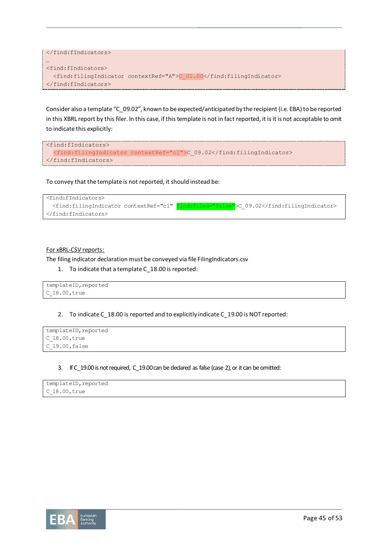```
</find:fIndicators>
…
<find:fIndicators>
   <find:filingIndicator contextRef="A">C_01.00</find:filingIndicator>
</find:fIndicators>
```
Consider also a template "C\_09.02", known to be expected/anticipated by the recipient (i.e. EBA) to be reported in this XBRL report by this filer. In this case, if this template is not in fact reported, it is it is not acceptable to omit to indicate this explicitly:

```
<find:fIndicators>
  <find:filingIndicator contextRef="c1">C_09.02</find:filingIndicator>
</find:fIndicators>
```
To convey that the template is not reported, it should instead be:



# For xBRL-CSV reports:

The filing indicator declaration must be conveyed via file FilingIndicators.csv

1. To indicate that a template C\_18.00 is reported:

```
templateID, reported
C_18.00,true
```
2. To indicate C\_18.00 is reported and to explicitly indicate C\_19.00 is NOT reported:

```
templateID, reported
C_18.00,true
C_19.00,false
```
3. If C\_19.00 is not required, C\_19.00 can be declared as false (case 2), or it can be omitted:

```
templateID, reported
C_18.00,true
```
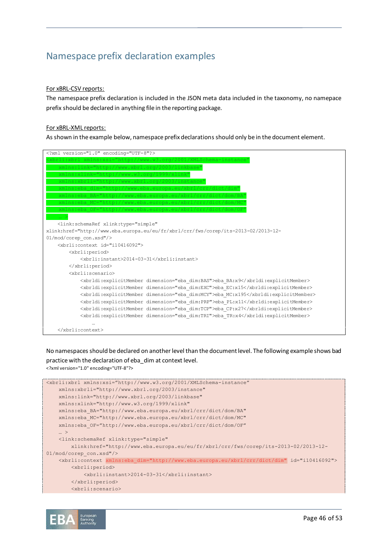# <span id="page-45-0"></span>Namespace prefix declaration examples

# For xBRL-CSV reports:

The namespace prefix declaration is included in the JSON meta data included in the taxonomy, no namepace prefix should be declared in anything file in the reporting package.

## For xBRL-XML reports:

As shown in the example below, namespace prefix declarations should only be in the document element.

| xml version="1.0" encoding="UTF-8"?                                                |
|------------------------------------------------------------------------------------|
| rli:xbrl xmlns:xsi="http://www.w3.org/2001/XMLSchema-instance                      |
| xmlns:link="http://www.xbrl.org/2003/linkbase"                                     |
| xmlns:xlink="http://www.w3.org/1999/xlink"                                         |
| xmlns:xbrli="http://www.xbrl.org/2003/instance"                                    |
| xmlns:eba dim="http://www.eba.europa.eu/xbrl/crr/dict/dim"                         |
| xmlns:eba BA="http://www.eba.europa.eu/xbrl/crr/dict/dom/BA"                       |
| xmlns:eba MC="http://www.eba.europa.eu/xbrl/crr/dict/dom/MC'                       |
| xmlns:eba OF="http://www.eba.europa.eu/xbrl/crr/dict/dom/OF"                       |
|                                                                                    |
| <link:schemaref <="" td="" xlink:type="simple"></link:schemaref>                   |
| xlink:href="http://www.eba.europa.eu/eu/fr/xbrl/crr/fws/corep/its-2013-02/2013-12- |
| 01/mod/corep con.xsd"/>                                                            |
| <xbrli:context_id="i10416092"></xbrli:context_id="i10416092">                      |
| <xbrli:period></xbrli:period>                                                      |
| <xbrli:instant>2014-03-31</xbrli:instant>                                          |
|                                                                                    |
| <xbrli:scenario></xbrli:scenario>                                                  |
| <xbrldi:explicitmember dimension="eba dim:BAS">eba BA:x9</xbrldi:explicitmember>   |
| <xbrldi:explicitmember dimension="eba dim:EXC">eba EC:x15</xbrldi:explicitmember>  |
| <xbrldi:explicitmember dimension="eba dim:MCY">eba MC:x195</xbrldi:explicitmember> |
| <xbrldi:explicitmember dimension="eba dim:PRP">eba PL:x11</xbrldi:explicitmember>  |
| <xbrldi:explicitmember dimension="eba dim:TCP">eba CP:x27</xbrldi:explicitmember>  |
| <xbrldi:explicitmember dimension="eba dim:TRI">eba TR:x4</xbrldi:explicitmember>   |
|                                                                                    |
|                                                                                    |

No namespaces should be declared on another level than the document level. The following example shows bad practice with the declaration of eba\_dim at context level. <?xml version="1.0" encoding="UTF-8"?>

```
<xbrli:xbrl xmlns:xsi="http://www.w3.org/2001/XMLSchema-instance"
    xmlns:xbrli="http://www.xbrl.org/2003/instance"
    xmlns:link="http://www.xbrl.org/2003/linkbase" 
    xmlns:xlink="http://www.w3.org/1999/xlink" 
    xmlns:eba_BA="http://www.eba.europa.eu/xbrl/crr/dict/dom/BA"
    xmlns:eba_MC="http://www.eba.europa.eu/xbrl/crr/dict/dom/MC"
    xmlns:eba_OF="http://www.eba.europa.eu/xbrl/crr/dict/dom/OF"
     … >
    <link:schemaRef xlink:type="simple"
        xlink:href="http://www.eba.europa.eu/eu/fr/xbrl/crr/fws/corep/its-2013-02/2013-12-
01/mod/corep_con.xsd"/>
     <xbrli:context xmlns:eba_dim="http://www.eba.europa.eu/xbrl/crr/dict/dim" id="i10416092">
         <xbrli:period>
             <xbrli:instant>2014-03-31</xbrli:instant>
         </xbrli:period>
         <xbrli:scenario>
```
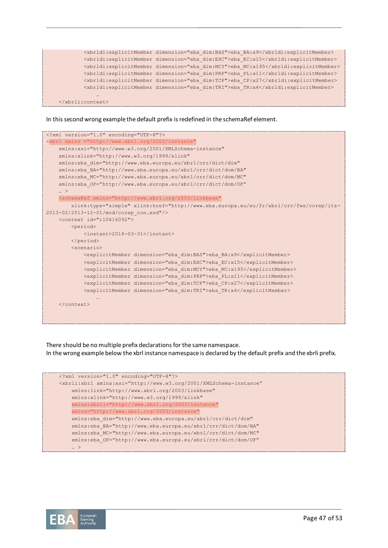

#### In this second wrong example the default prefix is redefined in the schemaRef element.

| xml version="1.0" encoding="UTF-8"?                                                    |
|----------------------------------------------------------------------------------------|
| <xbrl <="" td="" xmlns="http://www.xbrl.org/2003/instance"></xbrl>                     |
| xmlns:xsi="http://www.w3.org/2001/XMLSchema-instance"                                  |
| xmlns:xlink="http://www.w3.org/1999/xlink"                                             |
| xmlns:eba dim="http://www.eba.europa.eu/xbrl/crr/dict/dim"                             |
| xmlns:eba BA="http://www.eba.europa.eu/xbrl/crr/dict/dom/BA"                           |
| xmlns:eba MC="http://www.eba.europa.eu/xbrl/crr/dict/dom/MC"                           |
| xmlns:eba OF="http://www.eba.europa.eu/xbrl/crr/dict/dom/OF"                           |
| $\ldots$ >                                                                             |
| <schemaref <="" td="" xmlns="http://www.xbrl.org/2003/linkbase"></schemaref>           |
| xlink:type="simple" xlink:href="http://www.eba.europa.eu/eu/fr/xbrl/crr/fws/corep/its- |
| 2013-02/2013-12-01/mod/corep con.xsd"/>                                                |
| <context id="i10416092"></context>                                                     |
| <period></period>                                                                      |
| $\langle$ instant>2014-03-31                                                           |
|                                                                                        |
| $<$ scenario $>$                                                                       |
| <explicitmember dimension="eba dim:BAS">eba BA:x9</explicitmember>                     |
| <explicitmember dimension="eba dim:EXC">eba EC:x15</explicitmember>                    |
| <explicitmember dimension="eba dim:MCY">eba MC:x195</explicitmember>                   |
| <explicitmember dimension="eba dim: PRP">eba PL:x11</explicitmember>                   |
| <explicitmember dimension="eba_dim:TCP">eba_CP:x27</explicitmember>                    |
| <explicitmember dimension="eba dim:TRI">eba TR:x4</explicitmember>                     |
|                                                                                        |
| $\langle$ /context>                                                                    |
|                                                                                        |
|                                                                                        |
|                                                                                        |

There should be no multiple prefix declarations for the same namespace. In the wrong example below the xbrl instance namespace is declared by the default prefix and the xbrli prefix.

```
<?xml version="1.0" encoding="UTF-8"?>
<xbrli:xbrl xmlns:xsi="http://www.w3.org/2001/XMLSchema-instance"
    xmlns:link="http://www.xbrl.org/2003/linkbase" 
    xmlns:xlink="http://www.w3.org/1999/xlink"
     xmlns:xbrli="http://www.xbrl.org/2003/instance"
    xmlns="http://www.xbrl.org/2003/instance"
    xmlns:eba_dim="http://www.eba.europa.eu/xbrl/crr/dict/dim"
    xmlns:eba_BA="http://www.eba.europa.eu/xbrl/crr/dict/dom/BA"
    xmlns:eba_MC="http://www.eba.europa.eu/xbrl/crr/dict/dom/MC"
    xmlns:eba_OF="http://www.eba.europa.eu/xbrl/crr/dict/dom/OF"
 … >
```
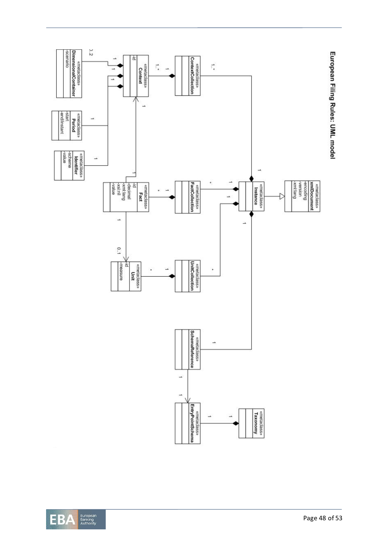



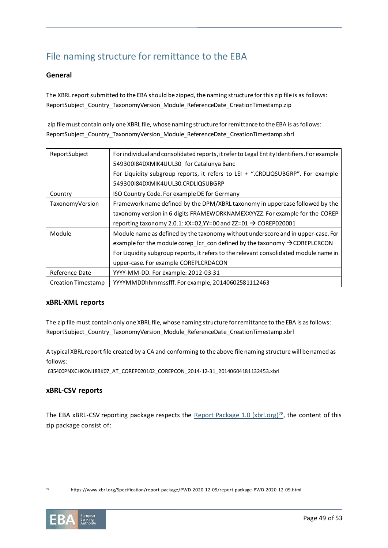# File naming structure for remittance to the EBA

# **General**

The XBRL report submitted to the EBA should be zipped, the naming structure for this zip file is as follows: ReportSubject\_Country\_TaxonomyVersion\_Module\_ReferenceDate\_CreationTimestamp.zip

zip file must contain only one XBRL file, whose naming structure for remittance to the EBA is as follows: ReportSubject\_Country\_TaxonomyVersion\_Module\_ReferenceDate\_CreationTimestamp.xbrl

| ReportSubject      | For individual and consolidated reports, it refer to Legal Entity Identifiers. For example         |
|--------------------|----------------------------------------------------------------------------------------------------|
|                    | 549300184DXMIK4UUL30 for Catalunya Banc                                                            |
|                    | For Liquidity subgroup reports, it refers to LEI + ".CRDLIQSUBGRP". For example                    |
|                    | 549300184DXMIK4UUL30.CRDLIQSUBGRP                                                                  |
| Country            | ISO Country Code. For example DE for Germany                                                       |
| TaxonomyVersion    | Framework name defined by the DPM/XBRL taxonomy in uppercase followed by the                       |
|                    | taxonomy version in 6 digits FRAMEWORKNAMEXXYYZZ. For example for the COREP                        |
|                    | reporting taxonomy 2.0.1: XX=02, YY=00 and ZZ=01 $\rightarrow$ COREP020001                         |
| Module             | Module name as defined by the taxonomy without underscore and in upper-case. For                   |
|                    | example for the module corep $\;$ Icr $\;$ con defined by the taxonomy $\;\rightarrow$ COREPLCRCON |
|                    | For Liquidity subgroup reports, it refers to the relevant consolidated module name in              |
|                    | upper-case. For example COREPLCRDACON                                                              |
| Reference Date     | YYYY-MM-DD. For example: 2012-03-31                                                                |
| Creation Timestamp | YYYYMMDDhhmmssfff. For example, 20140602581112463                                                  |

# **xBRL-XML reports**

The zip file must contain only one XBRL file, whose naming structure for remittance to the EBA is as follows: ReportSubject\_Country\_TaxonomyVersion\_Module\_ReferenceDate\_CreationTimestamp.xbrl

A typical XBRL report file created by a CA and conforming to the above file naming structure will be named as follows:

635400PNXCHKON18BK07\_AT\_COREP020102\_COREPCON\_2014-12-31\_20140604181132453.xbrl

# **xBRL-CSV reports**

The EBA xBRL-CSV reporting package respects the [Report Package 1.0 \(xbrl.org\)](https://www.xbrl.org/Specification/report-package/PWD-2020-12-09/report-package-PWD-2020-12-09.html)<sup>28</sup>, the content of this zip package consist of:

<sup>28</sup> https://www.xbrl.org/Specification/report-package/PWD-2020-12-09/report-package-PWD-2020-12-09.html

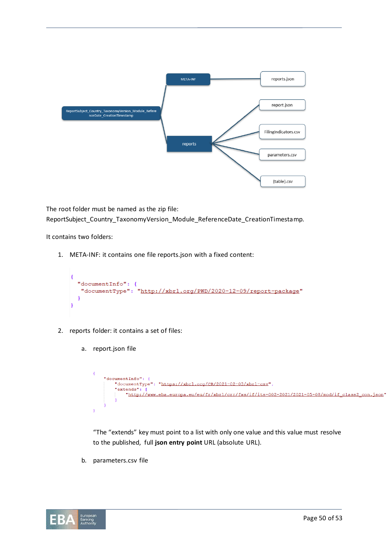

The root folder must be named as the zip file: ReportSubject\_Country\_TaxonomyVersion\_Module\_ReferenceDate\_CreationTimestamp.

It contains two folders:

1. META-INF: it contains one file reports.json with a fixed content:

```
\mathbf{f}"documentInfo": {
   "documentType": "http://xbrl.org/PWD/2020-12-09/report-package"
  -1
\mathbf{R}
```
- 2. reports folder: it contains a set of files:
	- a. report.json file

```
\overline{A}"documentInfo": {
        "documentType": "https://xbrl.org/CR/2021-02-03/xbrl-csv",
        "extends": [
            "http://www.eba.europa.eu/eu/fr/xbrl/crr/fws/if/its-002-2021/2021-05-08/mod/if_class2_con.json"
Y
```
"The "extends" key must point to a list with only one value and this value must resolve to the published, full **json entry point** URL (absolute URL).

b. parameters.csv file

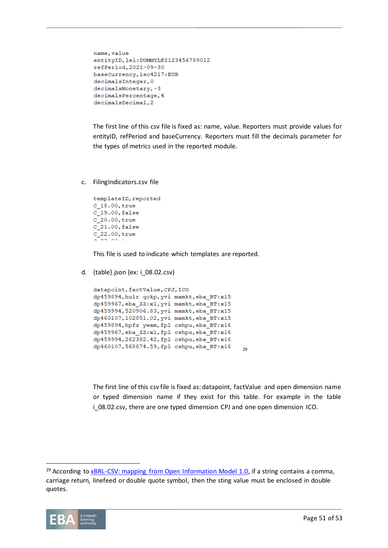```
name, value
entityID, lei: DUMMYLEI123456789012
refPeriod, 2021-09-30
baseCurrency, iso4217:EUR
decimalsInteger, 0
decimalsMonetary,-3
decimalsPercentage, 4
decimalsDecimal, 2
```
The first line of this csv file is fixed as: name, value. Reporters must provide values for entityID, refPeriod and baseCurrency. Reporters must fill the decimals parameter for the types of metrics used in the reported module.

c. FilingIndicators.csv file

```
templateID, reported
C 18.00, true
C_19.00, false
C 20.00, true
C_21.00, false
c_{22.00, true}\sim
```
This file is used to indicate which templates are reported.

d. {table}.json (ex: i\_08.02.csv)

```
datapoint, factValue, CPJ, ICO
dp459894, hulr qokp, yvi mamkt, eba BT:x15
dp459967, eba_ZZ:x1, yvi mamkt, eba_BT:x15
dp459994,520906.83, yvi mamkt, eba BT:x15
dp460107,102851.02, yvi mamkt, eba BT:x15
dp459894, hpfz ywam, fpl cshpu, eba BT:x16
dp459967, eba ZZ:x1, fpl cshpu, eba BT:x16
dp459994,262382.42, fpl cshpu, eba BT:x16
dp460107,568874.59,fpl cshpu,eba_BT:x16
                                             29
```
The first line of this csv file is fixed as: datapoint, factValue and open dimension name or typed dimension name if they exist for this table. For example in the table i\_08.02.csv, there are one typed dimension CPJ and one open dimension ICO.

<sup>&</sup>lt;sup>29</sup> According to  $xBRL-CSV:$  mapping from Open Information Model 1.0, if a string contains a comma, carriage return, linefeed or double quote symbol, then the sting value must be enclosed in double quotes.

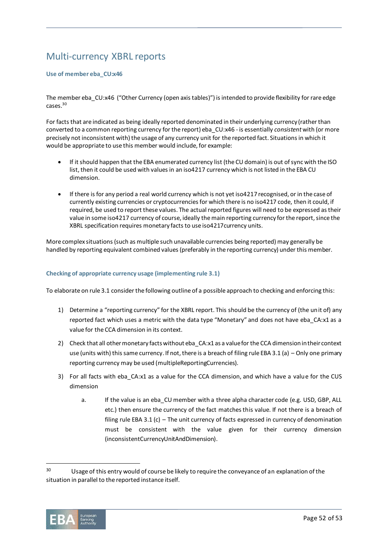# Multi-currency XBRL reports

# **Use of member eba\_CU:x46**

The member eba CU:x46 ("Other Currency (open axis tables)") is intended to provide flexibility for rare edge cases.<sup>30</sup>

For facts that are indicated as being ideally reported denominated in their underlying currency (rather than converted to a common reporting currency for the report) eba\_CU:x46 - is essentially *consistent* with (or more precisely not inconsistent with) the usage of any currency unit for the reported fact. Situations in which it would be appropriate to use this member would include, for example:

- If it should happen that the EBA enumerated currency list (the CU domain) is out of sync with the ISO list, then it could be used with values in an iso4217 currency which is not listed in the EBA CU dimension.
- If there is for any period a real world currency which is not yet iso4217 recognised, or in the case of currently existing currencies or cryptocurrencies for which there is no iso4217 code, then it could, if required, be used to report these values. The actual reported figures will need to be expressed as their value in some iso4217 currency of course, ideally the main reporting currency for the report, since the XBRL specification requires monetary facts to use iso4217currency units.

More complex situations (such as multiple such unavailable currencies being reported) may generally be handled by reporting equivalent combined values (preferably in the reporting currency) under this member.

# **Checking of appropriate currency usage (implementing rule 3.1)**

To elaborate on rule 3.1 consider the following outline of a possible approach to checking and enforcing this:

- 1) Determine a "reporting currency" for the XBRL report. This should be the currency of (the unit of) any reported fact which uses a metric with the data type "Monetary" and does not have eba\_CA:x1 as a value for the CCA dimension in its context.
- 2) Check that all other monetary facts without eba CA:x1 as a value for the CCA dimension in their context use (units with) this same currency. If not, there is a breach of filing rule EBA 3.1 (a) – Only one primary reporting currency may be used (multipleReportingCurrencies).
- 3) For all facts with eba CA:x1 as a value for the CCA dimension, and which have a value for the CUS dimension
	- a. If the value is an eba CU member with a three alpha character code (e.g. USD, GBP, ALL etc.) then ensure the currency of the fact matches this value. If not there is a breach of filing rule EBA 3.1 (c) – The unit currency of facts expressed in currency of denomination must be consistent with the value given for their currency dimension (inconsistentCurrencyUnitAndDimension).

<sup>&</sup>lt;sup>30</sup> Usage of this entry would of course be likely to require the conveyance of an explanation of the situation in parallel to the reported instance itself.